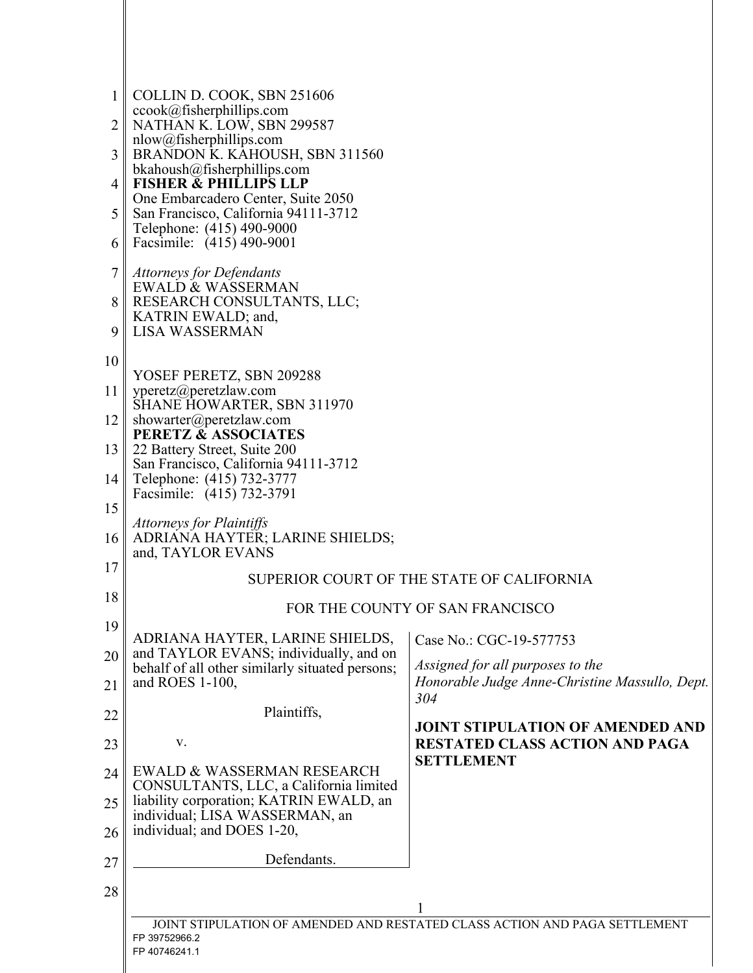| $\mathbf{1}$ | COLLIN D. COOK, SBN 251606                                                                  |                                                                                    |  |
|--------------|---------------------------------------------------------------------------------------------|------------------------------------------------------------------------------------|--|
| 2            | ccook@fisherphilips.com<br>NATHAN K. LOW, SBN 299587                                        |                                                                                    |  |
|              | nlow@fisherphillips.com                                                                     |                                                                                    |  |
| 3            | BRANDON K. KAHOUSH, SBN 311560<br>bkahoush@fisherphilips.com                                |                                                                                    |  |
| 4            | <b>FISHER &amp; PHILLIPS LLP</b>                                                            |                                                                                    |  |
| 5            | One Embarcadero Center, Suite 2050<br>San Francisco, California 94111-3712                  |                                                                                    |  |
| 6            | Telephone: (415) 490-9000<br>Facsimile: (415) 490-9001                                      |                                                                                    |  |
| 7            | <b>Attorneys for Defendants</b>                                                             |                                                                                    |  |
|              | <b>EWALD &amp; WASSERMAN</b><br>RESEARCH CONSULTANTS, LLC;                                  |                                                                                    |  |
| 9            | KATRIN EWALD; and,<br><b>LISA WASSERMAN</b>                                                 |                                                                                    |  |
| 10           |                                                                                             |                                                                                    |  |
|              | YOSEF PERETZ, SBN 209288                                                                    |                                                                                    |  |
| 11           | yperetz@peretzlaw.com<br>SHANE HOWARTER, SBN 311970                                         |                                                                                    |  |
| 12           | showarter@peretzlaw.com<br><b>PERETZ &amp; ASSOCIATES</b>                                   |                                                                                    |  |
| 13           | 22 Battery Street, Suite 200                                                                |                                                                                    |  |
| 14           | San Francisco, California 94111-3712<br>Telephone: (415) 732-3777                           |                                                                                    |  |
| 15           | Facsimile: (415) 732-3791                                                                   |                                                                                    |  |
|              | Attorneys for Plaintiffs                                                                    |                                                                                    |  |
| 16           | ADRIANA HAYTER; LARINE SHIELDS;<br>and, TAYLOR EVANS                                        |                                                                                    |  |
| 17           | SUPERIOR COURT OF THE STATE OF CALIFORNIA                                                   |                                                                                    |  |
| 18           | FOR THE COUNTY OF SAN FRANCISCO                                                             |                                                                                    |  |
| 19           | ADRIANA HAYTER, LARINE SHIELDS,                                                             | Case No.: CGC-19-577753                                                            |  |
| 20           | and TAYLOR EVANS; individually, and on                                                      |                                                                                    |  |
| 21           | behalf of all other similarly situated persons;<br>and ROES 1-100,                          | Assigned for all purposes to the<br>Honorable Judge Anne-Christine Massullo, Dept. |  |
|              | Plaintiffs,                                                                                 | 304                                                                                |  |
| 22           |                                                                                             | <b>JOINT STIPULATION OF AMENDED AND</b>                                            |  |
| 23           | V.                                                                                          | <b>RESTATED CLASS ACTION AND PAGA</b><br><b>SETTLEMENT</b>                         |  |
| 24           | EWALD & WASSERMAN RESEARCH<br>CONSULTANTS, LLC, a California limited                        |                                                                                    |  |
| 25           | liability corporation; KATRIN EWALD, an                                                     |                                                                                    |  |
| 26           | individual; LISA WASSERMAN, an<br>individual; and DOES 1-20,                                |                                                                                    |  |
| 27           | Defendants.                                                                                 |                                                                                    |  |
|              |                                                                                             |                                                                                    |  |
| 28           |                                                                                             | 1                                                                                  |  |
|              | JOINT STIPULATION OF AMENDED AND RESTATED CLASS ACTION AND PAGA SETTLEMENT<br>FP 39752966.2 |                                                                                    |  |
|              | FP 40746241.1                                                                               |                                                                                    |  |
|              |                                                                                             |                                                                                    |  |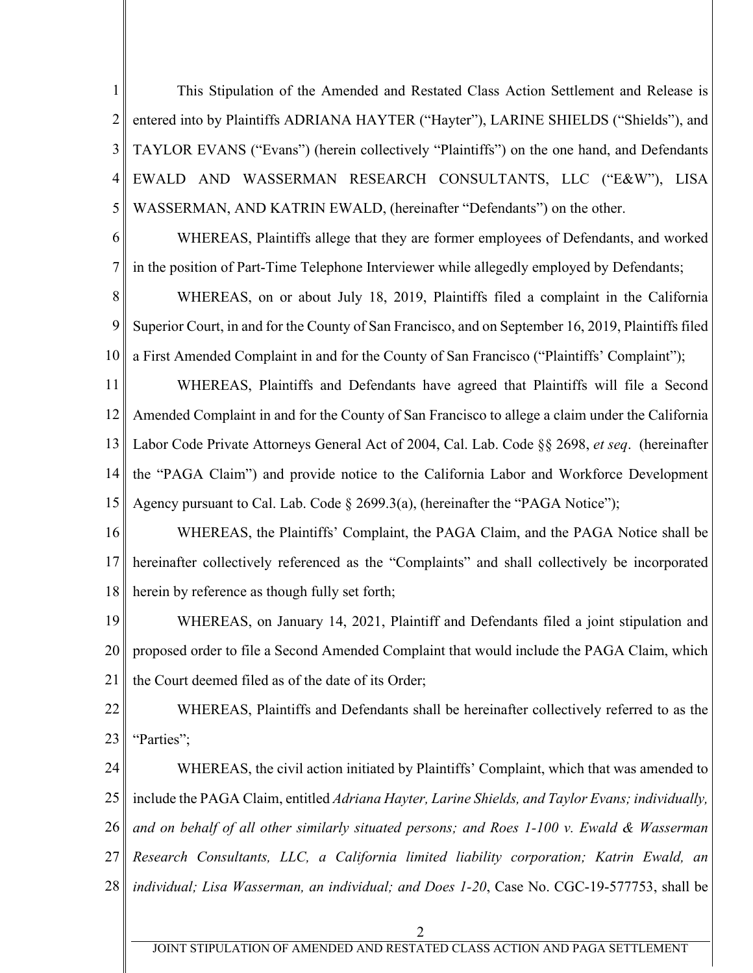1 2 3 4 5 This Stipulation of the Amended and Restated Class Action Settlement and Release is entered into by Plaintiffs ADRIANA HAYTER ("Hayter"), LARINE SHIELDS ("Shields"), and TAYLOR EVANS ("Evans") (herein collectively "Plaintiffs") on the one hand, and Defendants EWALD AND WASSERMAN RESEARCH CONSULTANTS, LLC ("E&W"), LISA WASSERMAN, AND KATRIN EWALD, (hereinafter "Defendants") on the other.

6 7 WHEREAS, Plaintiffs allege that they are former employees of Defendants, and worked in the position of Part-Time Telephone Interviewer while allegedly employed by Defendants;

8 9 10 WHEREAS, on or about July 18, 2019, Plaintiffs filed a complaint in the California Superior Court, in and for the County of San Francisco, and on September 16, 2019, Plaintiffs filed a First Amended Complaint in and for the County of San Francisco ("Plaintiffs' Complaint");

11 12 13 14 15 WHEREAS, Plaintiffs and Defendants have agreed that Plaintiffs will file a Second Amended Complaint in and for the County of San Francisco to allege a claim under the California Labor Code Private Attorneys General Act of 2004, Cal. Lab. Code §§ 2698, *et seq*. (hereinafter the "PAGA Claim") and provide notice to the California Labor and Workforce Development Agency pursuant to Cal. Lab. Code § 2699.3(a), (hereinafter the "PAGA Notice");

16 17 18 WHEREAS, the Plaintiffs' Complaint, the PAGA Claim, and the PAGA Notice shall be hereinafter collectively referenced as the "Complaints" and shall collectively be incorporated herein by reference as though fully set forth;

19 20 21 WHEREAS, on January 14, 2021, Plaintiff and Defendants filed a joint stipulation and proposed order to file a Second Amended Complaint that would include the PAGA Claim, which the Court deemed filed as of the date of its Order;

22 23 WHEREAS, Plaintiffs and Defendants shall be hereinafter collectively referred to as the "Parties";

24 25 26 27 28 WHEREAS, the civil action initiated by Plaintiffs' Complaint, which that was amended to include the PAGA Claim, entitled *Adriana Hayter, Larine Shields, and Taylor Evans; individually, and on behalf of all other similarly situated persons; and Roes 1-100 v. Ewald & Wasserman Research Consultants, LLC, a California limited liability corporation; Katrin Ewald, an individual; Lisa Wasserman, an individual; and Does 1-20*, Case No. CGC-19-577753, shall be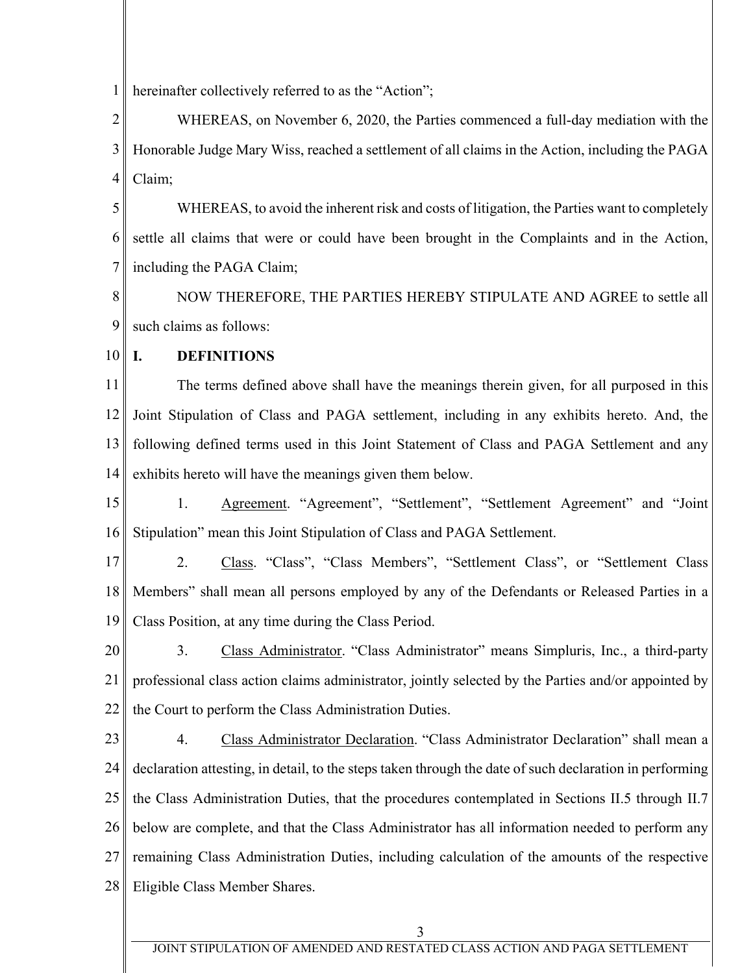1 hereinafter collectively referred to as the "Action";

2 3 4 WHEREAS, on November 6, 2020, the Parties commenced a full-day mediation with the Honorable Judge Mary Wiss, reached a settlement of all claims in the Action, including the PAGA Claim;

5 6 7 WHEREAS, to avoid the inherent risk and costs of litigation, the Parties want to completely settle all claims that were or could have been brought in the Complaints and in the Action, including the PAGA Claim;

8 9 NOW THEREFORE, THE PARTIES HEREBY STIPULATE AND AGREE to settle all such claims as follows:

10

## **I. DEFINITIONS**

11 12 13 14 The terms defined above shall have the meanings therein given, for all purposed in this Joint Stipulation of Class and PAGA settlement, including in any exhibits hereto. And, the following defined terms used in this Joint Statement of Class and PAGA Settlement and any exhibits hereto will have the meanings given them below.

15 16 1. Agreement. "Agreement", "Settlement", "Settlement Agreement" and "Joint Stipulation" mean this Joint Stipulation of Class and PAGA Settlement.

17 18 19 2. Class. "Class", "Class Members", "Settlement Class", or "Settlement Class" Members" shall mean all persons employed by any of the Defendants or Released Parties in a Class Position, at any time during the Class Period.

20 21 22 3. Class Administrator. "Class Administrator" means Simpluris, Inc., a third-party professional class action claims administrator, jointly selected by the Parties and/or appointed by the Court to perform the Class Administration Duties.

23

24 25 26 27 28 4. Class Administrator Declaration. "Class Administrator Declaration" shall mean a declaration attesting, in detail, to the steps taken through the date of such declaration in performing the Class Administration Duties, that the procedures contemplated in Sections II.5 through II.7 below are complete, and that the Class Administrator has all information needed to perform any remaining Class Administration Duties, including calculation of the amounts of the respective Eligible Class Member Shares.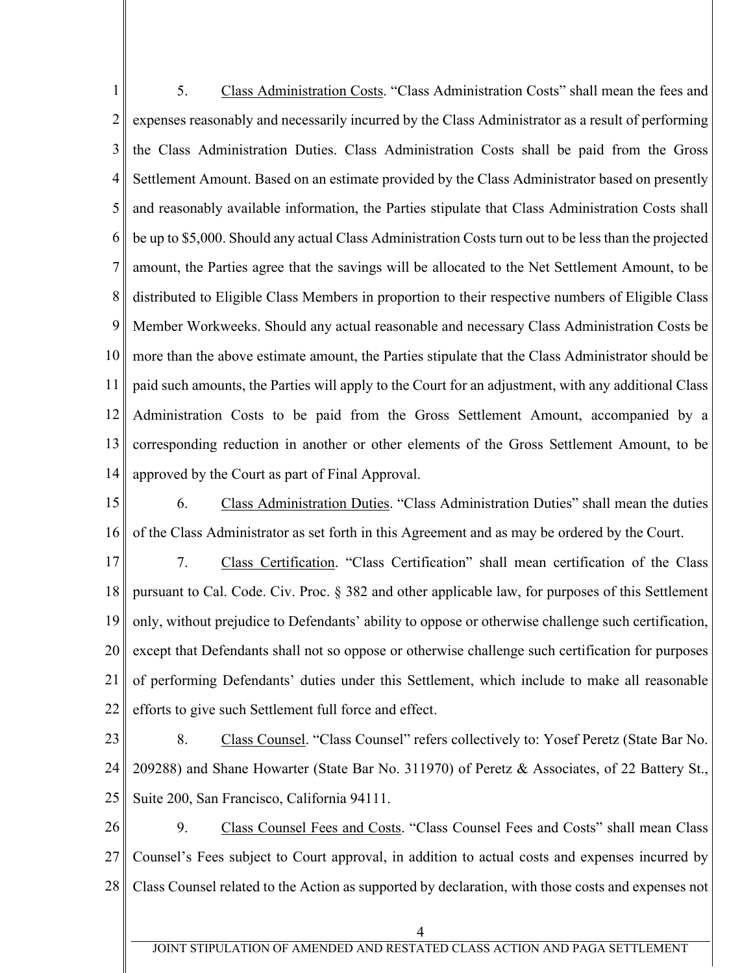1 2 3 4 5 6 7 8 9 10 11 12 13 14 5. Class Administration Costs. "Class Administration Costs" shall mean the fees and expenses reasonably and necessarily incurred by the Class Administrator as a result of performing the Class Administration Duties. Class Administration Costs shall be paid from the Gross Settlement Amount. Based on an estimate provided by the Class Administrator based on presently and reasonably available information, the Parties stipulate that Class Administration Costs shall be up to \$5,000. Should any actual Class Administration Costs turn out to be less than the projected amount, the Parties agree that the savings will be allocated to the Net Settlement Amount, to be distributed to Eligible Class Members in proportion to their respective numbers of Eligible Class Member Workweeks. Should any actual reasonable and necessary Class Administration Costs be more than the above estimate amount, the Parties stipulate that the Class Administrator should be paid such amounts, the Parties will apply to the Court for an adjustment, with any additional Class Administration Costs to be paid from the Gross Settlement Amount, accompanied by a corresponding reduction in another or other elements of the Gross Settlement Amount, to be approved by the Court as part of Final Approval.

15 16 6. Class Administration Duties. "Class Administration Duties" shall mean the duties of the Class Administrator as set forth in this Agreement and as may be ordered by the Court.

17 18 19 20 21 22 7. Class Certification. "Class Certification" shall mean certification of the Class pursuant to Cal. Code. Civ. Proc. § 382 and other applicable law, for purposes of this Settlement only, without prejudice to Defendants' ability to oppose or otherwise challenge such certification, except that Defendants shall not so oppose or otherwise challenge such certification for purposes of performing Defendants' duties under this Settlement, which include to make all reasonable efforts to give such Settlement full force and effect.

23 24 25 8. Class Counsel. "Class Counsel" refers collectively to: Yosef Peretz (State Bar No. 209288) and Shane Howarter (State Bar No. 311970) of Peretz & Associates, of 22 Battery St., Suite 200, San Francisco, California 94111.

26 27 28 9. Class Counsel Fees and Costs. "Class Counsel Fees and Costs" shall mean Class Counsel's Fees subject to Court approval, in addition to actual costs and expenses incurred by Class Counsel related to the Action as supported by declaration, with those costs and expenses not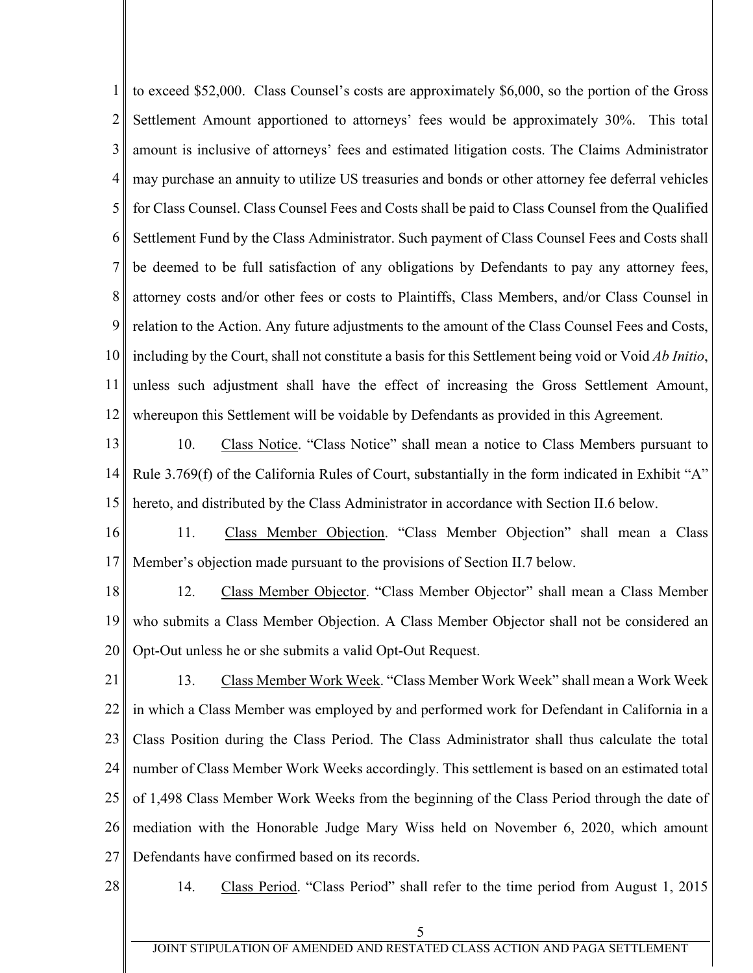1 2 3 4 5 6 7 8 9 10 11 12 to exceed \$52,000. Class Counsel's costs are approximately \$6,000, so the portion of the Gross Settlement Amount apportioned to attorneys' fees would be approximately 30%. This total amount is inclusive of attorneys' fees and estimated litigation costs. The Claims Administrator may purchase an annuity to utilize US treasuries and bonds or other attorney fee deferral vehicles for Class Counsel. Class Counsel Fees and Costs shall be paid to Class Counsel from the Qualified Settlement Fund by the Class Administrator. Such payment of Class Counsel Fees and Costs shall be deemed to be full satisfaction of any obligations by Defendants to pay any attorney fees, attorney costs and/or other fees or costs to Plaintiffs, Class Members, and/or Class Counsel in relation to the Action. Any future adjustments to the amount of the Class Counsel Fees and Costs, including by the Court, shall not constitute a basis for this Settlement being void or Void *Ab Initio*, unless such adjustment shall have the effect of increasing the Gross Settlement Amount, whereupon this Settlement will be voidable by Defendants as provided in this Agreement.

13 14 15 10. Class Notice. "Class Notice" shall mean a notice to Class Members pursuant to Rule 3.769(f) of the California Rules of Court, substantially in the form indicated in Exhibit "A" hereto, and distributed by the Class Administrator in accordance with Section II.6 below.

16 17 11. Class Member Objection. "Class Member Objection" shall mean a Class Member's objection made pursuant to the provisions of Section II.7 below.

18 19 20 12. Class Member Objector. "Class Member Objector" shall mean a Class Member who submits a Class Member Objection. A Class Member Objector shall not be considered an Opt-Out unless he or she submits a valid Opt-Out Request.

21 22 23 24 25 26 27 13. Class Member Work Week. "Class Member Work Week" shall mean a Work Week in which a Class Member was employed by and performed work for Defendant in California in a Class Position during the Class Period. The Class Administrator shall thus calculate the total number of Class Member Work Weeks accordingly. This settlement is based on an estimated total of 1,498 Class Member Work Weeks from the beginning of the Class Period through the date of mediation with the Honorable Judge Mary Wiss held on November 6, 2020, which amount Defendants have confirmed based on its records.

28

14. Class Period. "Class Period" shall refer to the time period from August 1, 2015

JOINT STIPULATION OF AMENDED AND RESTATED CLASS ACTION AND PAGA SETTLEMENT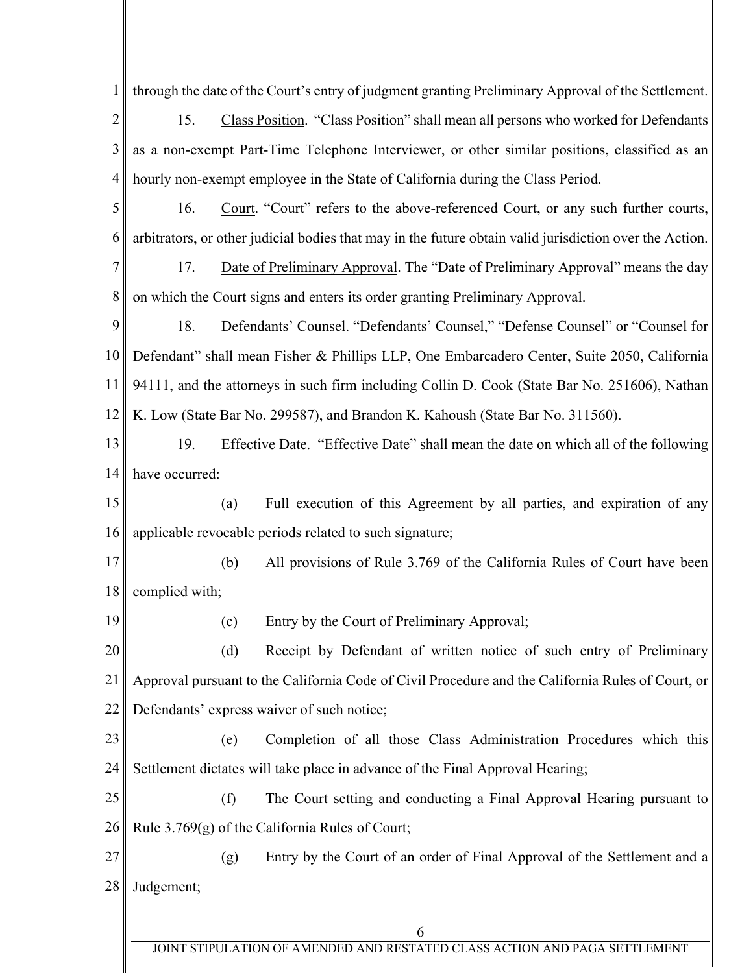6 1 2 3 4 5 6 7 8 9 10 11 12 13 14 15 16 17 18 19 20 21 22 23 24 25 26 27 28 through the date of the Court's entry of judgment granting Preliminary Approval of the Settlement. 15. Class Position. "Class Position" shall mean all persons who worked for Defendants as a non-exempt Part-Time Telephone Interviewer, or other similar positions, classified as an hourly non-exempt employee in the State of California during the Class Period. 16. Court. "Court" refers to the above-referenced Court, or any such further courts, arbitrators, or other judicial bodies that may in the future obtain valid jurisdiction over the Action. 17. Date of Preliminary Approval. The "Date of Preliminary Approval" means the day on which the Court signs and enters its order granting Preliminary Approval. 18. Defendants' Counsel. "Defendants' Counsel," "Defense Counsel" or "Counsel for Defendant" shall mean Fisher & Phillips LLP, One Embarcadero Center, Suite 2050, California 94111, and the attorneys in such firm including Collin D. Cook (State Bar No. 251606), Nathan K. Low (State Bar No. 299587), and Brandon K. Kahoush (State Bar No. 311560). 19. Effective Date. "Effective Date" shall mean the date on which all of the following have occurred: (a) Full execution of this Agreement by all parties, and expiration of any applicable revocable periods related to such signature; (b) All provisions of Rule 3.769 of the California Rules of Court have been complied with; (c) Entry by the Court of Preliminary Approval; (d) Receipt by Defendant of written notice of such entry of Preliminary Approval pursuant to the California Code of Civil Procedure and the California Rules of Court, or Defendants' express waiver of such notice; (e) Completion of all those Class Administration Procedures which this Settlement dictates will take place in advance of the Final Approval Hearing; (f) The Court setting and conducting a Final Approval Hearing pursuant to Rule 3.769(g) of the California Rules of Court; (g) Entry by the Court of an order of Final Approval of the Settlement and a Judgement;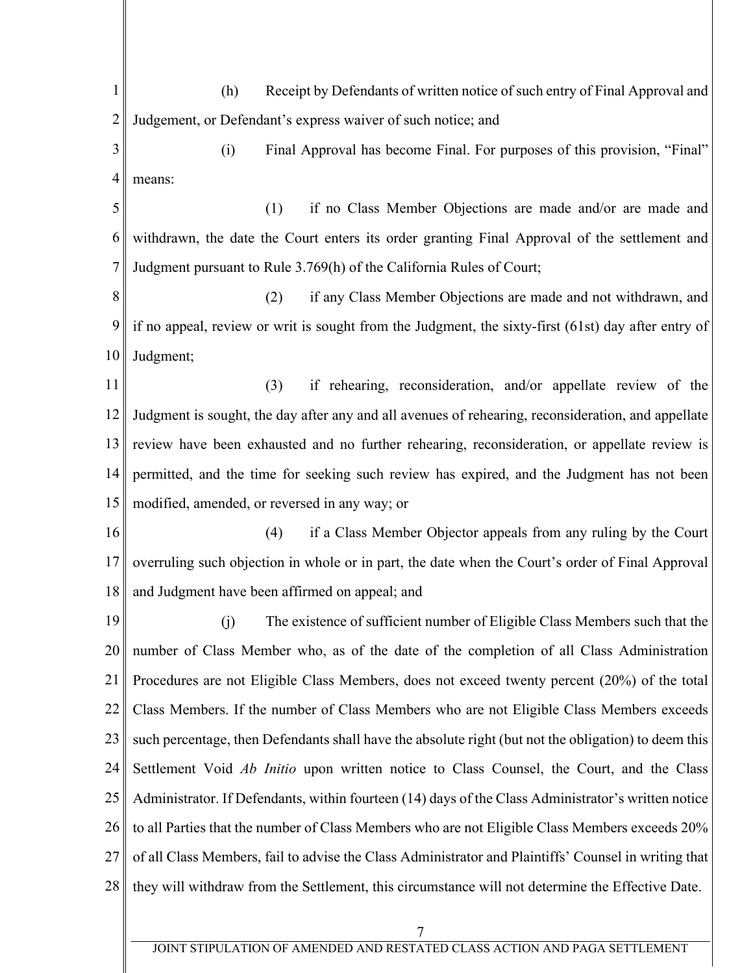7 1 2 3 4 5 6 7 8 9 10 11 12 13 14 15 16 17 18 19 20 21 22 23 24 25 26 27 28 (h) Receipt by Defendants of written notice of such entry of Final Approval and Judgement, or Defendant's express waiver of such notice; and (i) Final Approval has become Final. For purposes of this provision, "Final" means: (1) if no Class Member Objections are made and/or are made and withdrawn, the date the Court enters its order granting Final Approval of the settlement and Judgment pursuant to Rule 3.769(h) of the California Rules of Court; (2) if any Class Member Objections are made and not withdrawn, and if no appeal, review or writ is sought from the Judgment, the sixty-first (61st) day after entry of Judgment; (3) if rehearing, reconsideration, and/or appellate review of the Judgment is sought, the day after any and all avenues of rehearing, reconsideration, and appellate review have been exhausted and no further rehearing, reconsideration, or appellate review is permitted, and the time for seeking such review has expired, and the Judgment has not been modified, amended, or reversed in any way; or (4) if a Class Member Objector appeals from any ruling by the Court overruling such objection in whole or in part, the date when the Court's order of Final Approval and Judgment have been affirmed on appeal; and (j) The existence of sufficient number of Eligible Class Members such that the number of Class Member who, as of the date of the completion of all Class Administration Procedures are not Eligible Class Members, does not exceed twenty percent (20%) of the total Class Members. If the number of Class Members who are not Eligible Class Members exceeds such percentage, then Defendants shall have the absolute right (but not the obligation) to deem this Settlement Void *Ab Initio* upon written notice to Class Counsel, the Court, and the Class Administrator. If Defendants, within fourteen (14) days of the Class Administrator's written notice to all Parties that the number of Class Members who are not Eligible Class Members exceeds 20% of all Class Members, fail to advise the Class Administrator and Plaintiffs' Counsel in writing that they will withdraw from the Settlement, this circumstance will not determine the Effective Date.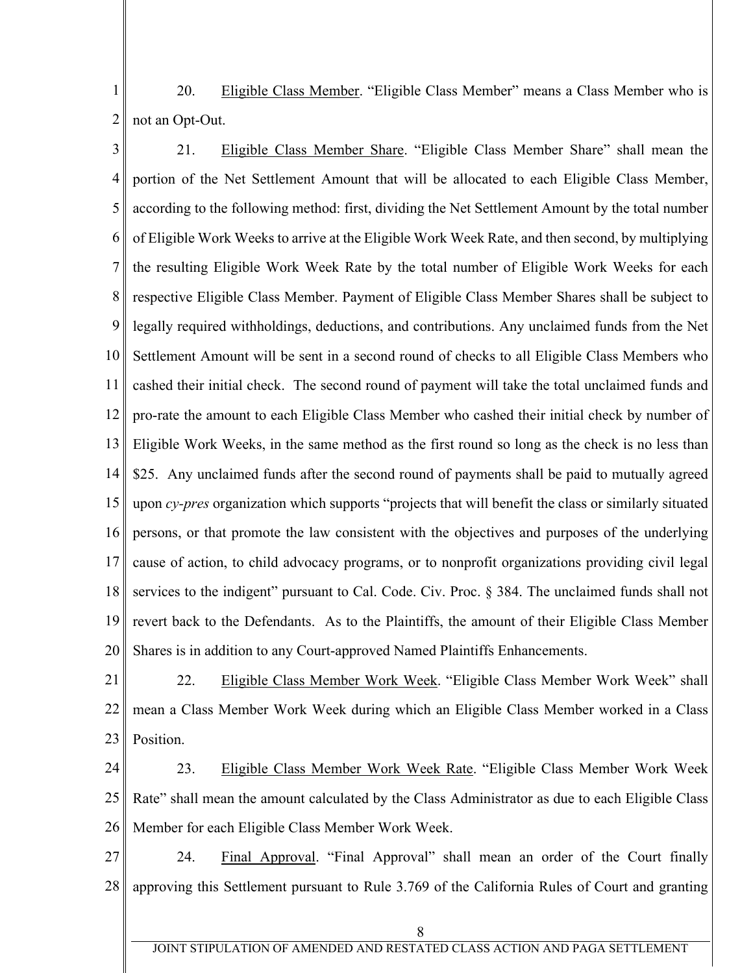1 2 20. Eligible Class Member. "Eligible Class Member" means a Class Member who is not an Opt-Out.

3 4 5 6 7 8 9 10 11 12 13 14 15 16 17 18 19 20 21. Eligible Class Member Share. "Eligible Class Member Share" shall mean the portion of the Net Settlement Amount that will be allocated to each Eligible Class Member, according to the following method: first, dividing the Net Settlement Amount by the total number of Eligible Work Weeks to arrive at the Eligible Work Week Rate, and then second, by multiplying the resulting Eligible Work Week Rate by the total number of Eligible Work Weeks for each respective Eligible Class Member. Payment of Eligible Class Member Shares shall be subject to legally required withholdings, deductions, and contributions. Any unclaimed funds from the Net Settlement Amount will be sent in a second round of checks to all Eligible Class Members who cashed their initial check. The second round of payment will take the total unclaimed funds and pro-rate the amount to each Eligible Class Member who cashed their initial check by number of Eligible Work Weeks, in the same method as the first round so long as the check is no less than \$25. Any unclaimed funds after the second round of payments shall be paid to mutually agreed upon *cy-pres* organization which supports "projects that will benefit the class or similarly situated persons, or that promote the law consistent with the objectives and purposes of the underlying cause of action, to child advocacy programs, or to nonprofit organizations providing civil legal services to the indigent" pursuant to Cal. Code. Civ. Proc. § 384. The unclaimed funds shall not revert back to the Defendants. As to the Plaintiffs, the amount of their Eligible Class Member Shares is in addition to any Court-approved Named Plaintiffs Enhancements.

21 22 23 22. Eligible Class Member Work Week. "Eligible Class Member Work Week" shall mean a Class Member Work Week during which an Eligible Class Member worked in a Class Position.

24 25 26 23. Eligible Class Member Work Week Rate. "Eligible Class Member Work Week Rate" shall mean the amount calculated by the Class Administrator as due to each Eligible Class Member for each Eligible Class Member Work Week.

27 28 24. Final Approval. "Final Approval" shall mean an order of the Court finally approving this Settlement pursuant to Rule 3.769 of the California Rules of Court and granting

8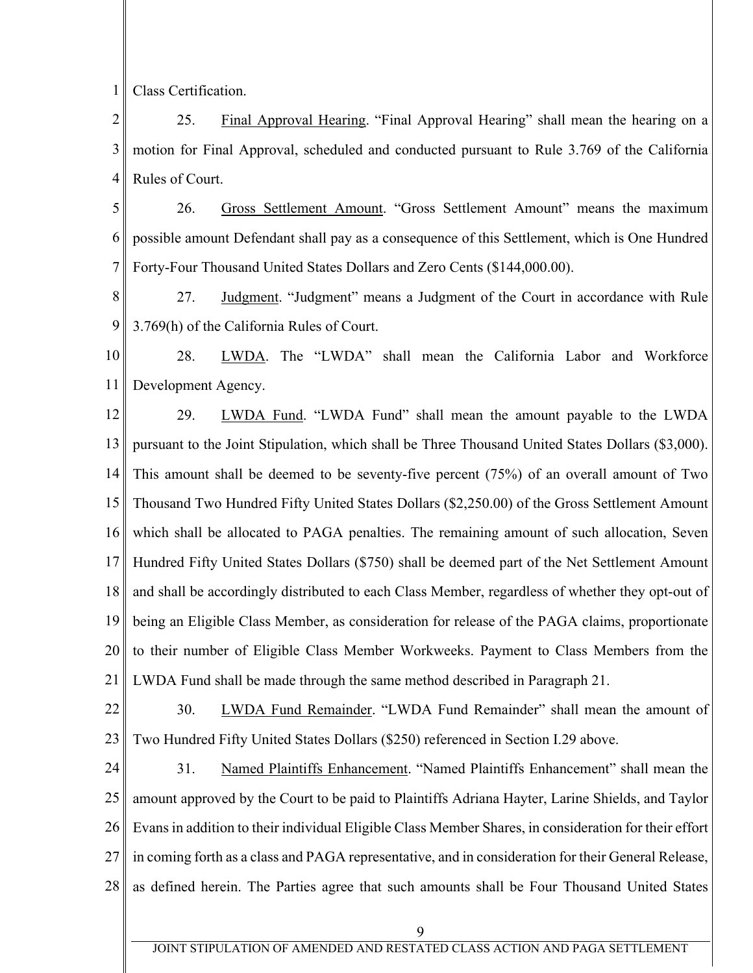1 Class Certification.

2 3 4 25. Final Approval Hearing. "Final Approval Hearing" shall mean the hearing on a motion for Final Approval, scheduled and conducted pursuant to Rule 3.769 of the California Rules of Court.

5 6 7 26. Gross Settlement Amount. "Gross Settlement Amount" means the maximum possible amount Defendant shall pay as a consequence of this Settlement, which is One Hundred Forty-Four Thousand United States Dollars and Zero Cents (\$144,000.00).

8 9 27. Judgment. "Judgment" means a Judgment of the Court in accordance with Rule 3.769(h) of the California Rules of Court.

10 11 28. LWDA. The "LWDA" shall mean the California Labor and Workforce Development Agency.

12 13 14 15 16 17 18 19 20 21 29. LWDA Fund. "LWDA Fund" shall mean the amount payable to the LWDA pursuant to the Joint Stipulation, which shall be Three Thousand United States Dollars (\$3,000). This amount shall be deemed to be seventy-five percent (75%) of an overall amount of Two Thousand Two Hundred Fifty United States Dollars (\$2,250.00) of the Gross Settlement Amount which shall be allocated to PAGA penalties. The remaining amount of such allocation, Seven Hundred Fifty United States Dollars (\$750) shall be deemed part of the Net Settlement Amount and shall be accordingly distributed to each Class Member, regardless of whether they opt-out of being an Eligible Class Member, as consideration for release of the PAGA claims, proportionate to their number of Eligible Class Member Workweeks. Payment to Class Members from the LWDA Fund shall be made through the same method described in Paragraph 21.

22 23 30. LWDA Fund Remainder. "LWDA Fund Remainder" shall mean the amount of Two Hundred Fifty United States Dollars (\$250) referenced in Section I.29 above.

24 25 26 27 28 31. Named Plaintiffs Enhancement. "Named Plaintiffs Enhancement" shall mean the amount approved by the Court to be paid to Plaintiffs Adriana Hayter, Larine Shields, and Taylor Evans in addition to their individual Eligible Class Member Shares, in consideration for their effort in coming forth as a class and PAGA representative, and in consideration for their General Release, as defined herein. The Parties agree that such amounts shall be Four Thousand United States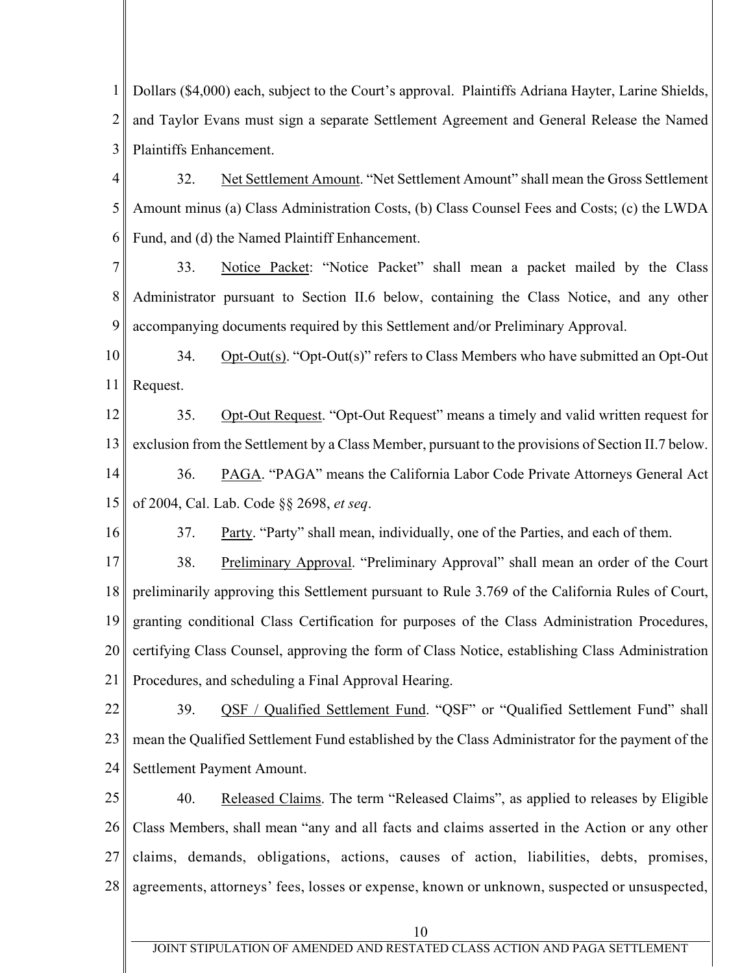1 2 3 Dollars (\$4,000) each, subject to the Court's approval. Plaintiffs Adriana Hayter, Larine Shields, and Taylor Evans must sign a separate Settlement Agreement and General Release the Named Plaintiffs Enhancement.

4 5 6 32. Net Settlement Amount. "Net Settlement Amount" shall mean the Gross Settlement Amount minus (a) Class Administration Costs, (b) Class Counsel Fees and Costs; (c) the LWDA Fund, and (d) the Named Plaintiff Enhancement.

7 8 9 33. Notice Packet: "Notice Packet" shall mean a packet mailed by the Class Administrator pursuant to Section II.6 below, containing the Class Notice, and any other accompanying documents required by this Settlement and/or Preliminary Approval.

10 11 34. Opt-Out(s). "Opt-Out(s)" refers to Class Members who have submitted an Opt-Out Request.

12 13 14 15 35. Opt-Out Request. "Opt-Out Request" means a timely and valid written request for exclusion from the Settlement by a Class Member, pursuant to the provisions of Section II.7 below. 36. PAGA. "PAGA" means the California Labor Code Private Attorneys General Act of 2004, Cal. Lab. Code §§ 2698, *et seq*.

37. Party. "Party" shall mean, individually, one of the Parties, and each of them.

16

17 18 19 20 21 38. Preliminary Approval. "Preliminary Approval" shall mean an order of the Court preliminarily approving this Settlement pursuant to Rule 3.769 of the California Rules of Court, granting conditional Class Certification for purposes of the Class Administration Procedures, certifying Class Counsel, approving the form of Class Notice, establishing Class Administration Procedures, and scheduling a Final Approval Hearing.

22 23 24 39. QSF / Qualified Settlement Fund. "QSF" or "Qualified Settlement Fund" shall mean the Qualified Settlement Fund established by the Class Administrator for the payment of the Settlement Payment Amount.

25 26 27 28 40. Released Claims. The term "Released Claims", as applied to releases by Eligible Class Members, shall mean "any and all facts and claims asserted in the Action or any other claims, demands, obligations, actions, causes of action, liabilities, debts, promises, agreements, attorneys' fees, losses or expense, known or unknown, suspected or unsuspected,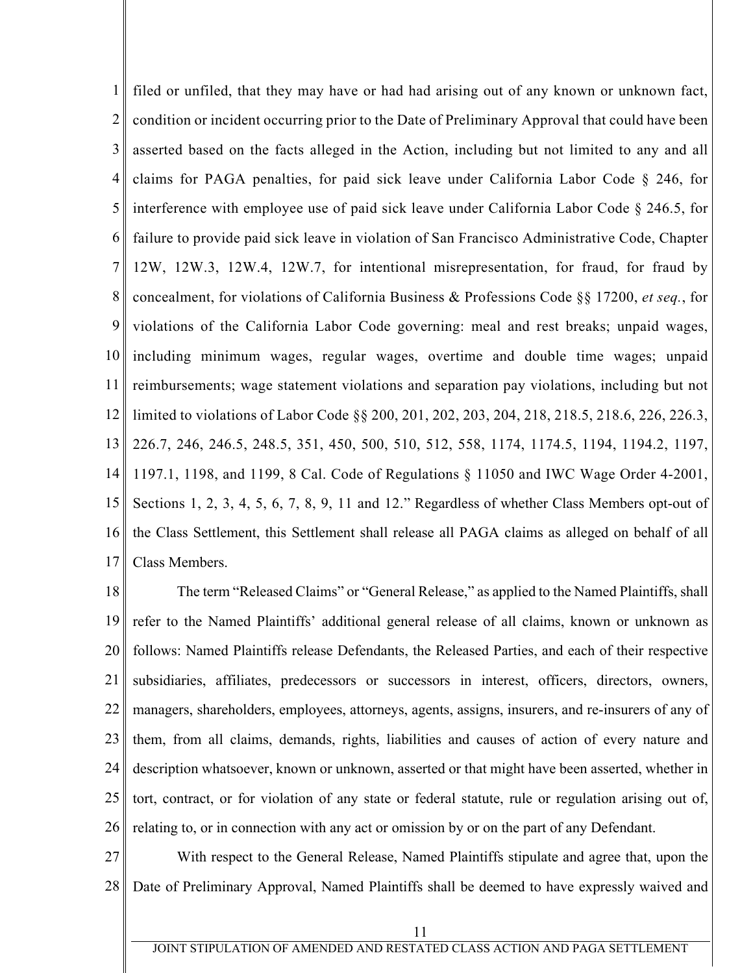1 2 3 4 5 6 7 8 9 10 11 12 13 14 15 16 17 filed or unfiled, that they may have or had had arising out of any known or unknown fact, condition or incident occurring prior to the Date of Preliminary Approval that could have been asserted based on the facts alleged in the Action, including but not limited to any and all claims for PAGA penalties, for paid sick leave under California Labor Code § 246, for interference with employee use of paid sick leave under California Labor Code § 246.5, for failure to provide paid sick leave in violation of San Francisco Administrative Code, Chapter 12W, 12W.3, 12W.4, 12W.7, for intentional misrepresentation, for fraud, for fraud by concealment, for violations of California Business & Professions Code §§ 17200, *et seq.*, for violations of the California Labor Code governing: meal and rest breaks; unpaid wages, including minimum wages, regular wages, overtime and double time wages; unpaid reimbursements; wage statement violations and separation pay violations, including but not limited to violations of Labor Code §§ 200, 201, 202, 203, 204, 218, 218.5, 218.6, 226, 226.3, 226.7, 246, 246.5, 248.5, 351, 450, 500, 510, 512, 558, 1174, 1174.5, 1194, 1194.2, 1197, 1197.1, 1198, and 1199, 8 Cal. Code of Regulations § 11050 and IWC Wage Order 4-2001, Sections 1, 2, 3, 4, 5, 6, 7, 8, 9, 11 and 12." Regardless of whether Class Members opt-out of the Class Settlement, this Settlement shall release all PAGA claims as alleged on behalf of all Class Members.

18 19 20 21 22 23 24 25 26 The term "Released Claims" or "General Release," as applied to the Named Plaintiffs, shall refer to the Named Plaintiffs' additional general release of all claims, known or unknown as follows: Named Plaintiffs release Defendants, the Released Parties, and each of their respective subsidiaries, affiliates, predecessors or successors in interest, officers, directors, owners, managers, shareholders, employees, attorneys, agents, assigns, insurers, and re-insurers of any of them, from all claims, demands, rights, liabilities and causes of action of every nature and description whatsoever, known or unknown, asserted or that might have been asserted, whether in tort, contract, or for violation of any state or federal statute, rule or regulation arising out of, relating to, or in connection with any act or omission by or on the part of any Defendant.

27 28 With respect to the General Release, Named Plaintiffs stipulate and agree that, upon the Date of Preliminary Approval, Named Plaintiffs shall be deemed to have expressly waived and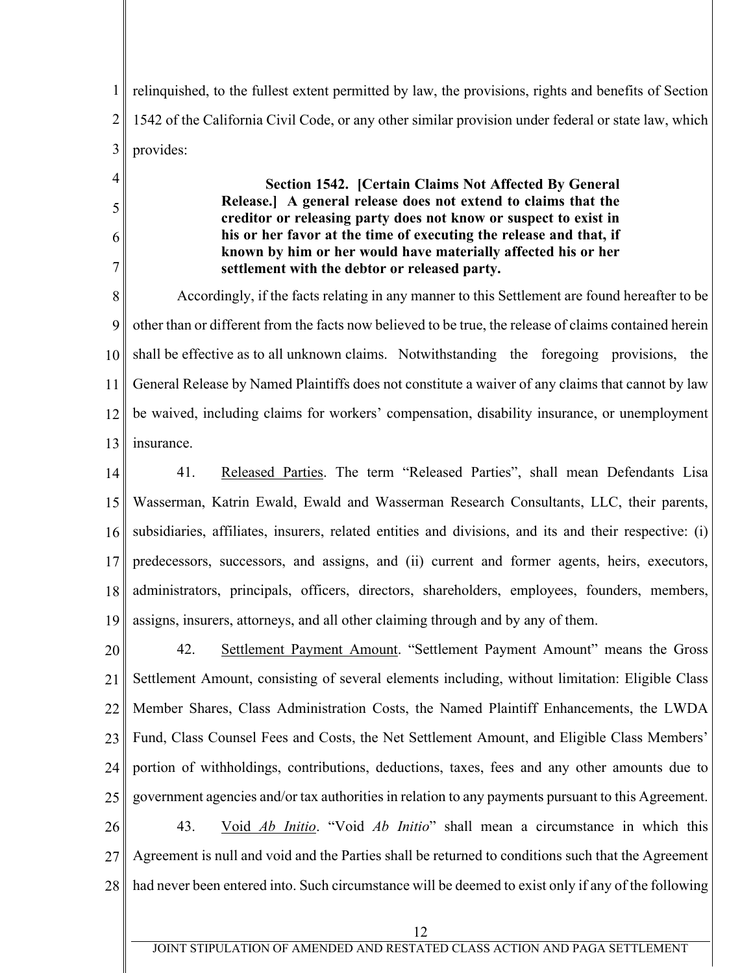1 2 3 relinquished, to the fullest extent permitted by law, the provisions, rights and benefits of Section 1542 of the California Civil Code, or any other similar provision under federal or state law, which provides:

4

5

6

7

**Section 1542. [Certain Claims Not Affected By General Release.] A general release does not extend to claims that the creditor or releasing party does not know or suspect to exist in his or her favor at the time of executing the release and that, if known by him or her would have materially affected his or her settlement with the debtor or released party.** 

8 9 10 11 12 13 Accordingly, if the facts relating in any manner to this Settlement are found hereafter to be other than or different from the facts now believed to be true, the release of claims contained herein shall be effective as to all unknown claims. Notwithstanding the foregoing provisions, the General Release by Named Plaintiffs does not constitute a waiver of any claims that cannot by law be waived, including claims for workers' compensation, disability insurance, or unemployment insurance.

14 15 16 17 18 19 41. Released Parties. The term "Released Parties", shall mean Defendants Lisa Wasserman, Katrin Ewald, Ewald and Wasserman Research Consultants, LLC, their parents, subsidiaries, affiliates, insurers, related entities and divisions, and its and their respective: (i) predecessors, successors, and assigns, and (ii) current and former agents, heirs, executors, administrators, principals, officers, directors, shareholders, employees, founders, members, assigns, insurers, attorneys, and all other claiming through and by any of them.

20 21 22 23 24 25 26 27 28 42. Settlement Payment Amount. "Settlement Payment Amount" means the Gross Settlement Amount, consisting of several elements including, without limitation: Eligible Class Member Shares, Class Administration Costs, the Named Plaintiff Enhancements, the LWDA Fund, Class Counsel Fees and Costs, the Net Settlement Amount, and Eligible Class Members' portion of withholdings, contributions, deductions, taxes, fees and any other amounts due to government agencies and/or tax authorities in relation to any payments pursuant to this Agreement. 43. Void *Ab Initio*. "Void *Ab Initio*" shall mean a circumstance in which this Agreement is null and void and the Parties shall be returned to conditions such that the Agreement had never been entered into. Such circumstance will be deemed to exist only if any of the following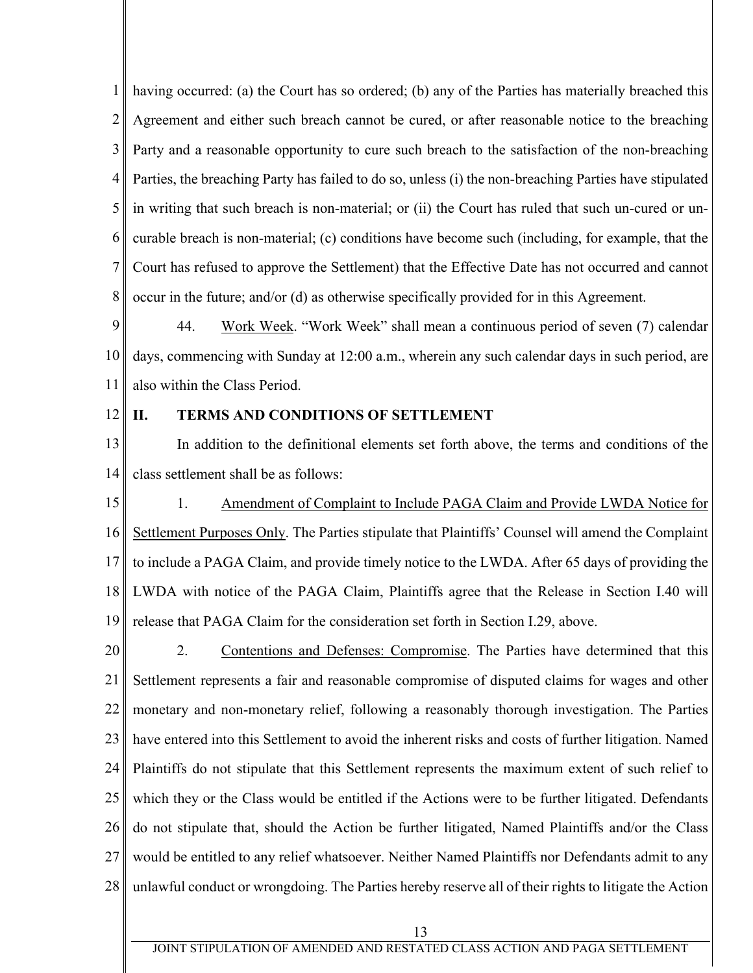1 2 3 4 5 6 7 8 having occurred: (a) the Court has so ordered; (b) any of the Parties has materially breached this Agreement and either such breach cannot be cured, or after reasonable notice to the breaching Party and a reasonable opportunity to cure such breach to the satisfaction of the non-breaching Parties, the breaching Party has failed to do so, unless (i) the non-breaching Parties have stipulated in writing that such breach is non-material; or (ii) the Court has ruled that such un-cured or uncurable breach is non-material; (c) conditions have become such (including, for example, that the Court has refused to approve the Settlement) that the Effective Date has not occurred and cannot occur in the future; and/or (d) as otherwise specifically provided for in this Agreement.

9 10 11 44. Work Week. "Work Week" shall mean a continuous period of seven (7) calendar days, commencing with Sunday at 12:00 a.m., wherein any such calendar days in such period, are also within the Class Period.

12

## **II. TERMS AND CONDITIONS OF SETTLEMENT**

13 14 In addition to the definitional elements set forth above, the terms and conditions of the class settlement shall be as follows:

15 16 17 18 19 1. Amendment of Complaint to Include PAGA Claim and Provide LWDA Notice for Settlement Purposes Only. The Parties stipulate that Plaintiffs' Counsel will amend the Complaint to include a PAGA Claim, and provide timely notice to the LWDA. After 65 days of providing the LWDA with notice of the PAGA Claim, Plaintiffs agree that the Release in Section I.40 will release that PAGA Claim for the consideration set forth in Section I.29, above.

20 21 22 23 24 25 26 27 28 2. Contentions and Defenses: Compromise. The Parties have determined that this Settlement represents a fair and reasonable compromise of disputed claims for wages and other monetary and non-monetary relief, following a reasonably thorough investigation. The Parties have entered into this Settlement to avoid the inherent risks and costs of further litigation. Named Plaintiffs do not stipulate that this Settlement represents the maximum extent of such relief to which they or the Class would be entitled if the Actions were to be further litigated. Defendants do not stipulate that, should the Action be further litigated, Named Plaintiffs and/or the Class would be entitled to any relief whatsoever. Neither Named Plaintiffs nor Defendants admit to any unlawful conduct or wrongdoing. The Parties hereby reserve all of their rights to litigate the Action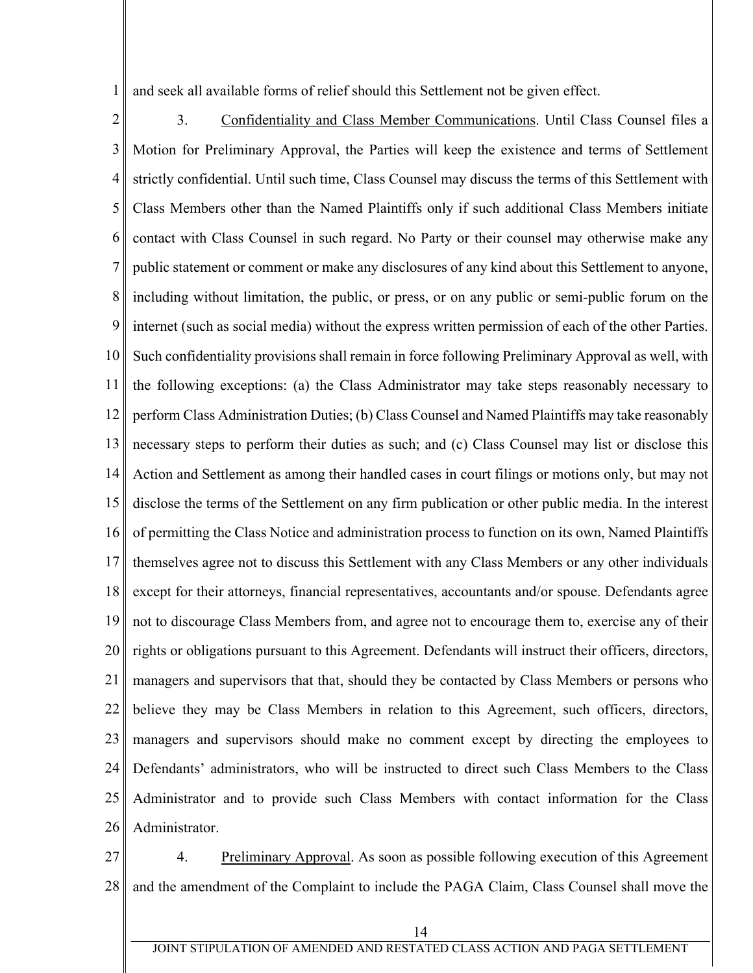1 and seek all available forms of relief should this Settlement not be given effect.

2 3 4 5 6 7 8 9 10 11 12 13 14 15 16 17 18 19 20 21 22 23 24 25 26 3. Confidentiality and Class Member Communications. Until Class Counsel files a Motion for Preliminary Approval, the Parties will keep the existence and terms of Settlement strictly confidential. Until such time, Class Counsel may discuss the terms of this Settlement with Class Members other than the Named Plaintiffs only if such additional Class Members initiate contact with Class Counsel in such regard. No Party or their counsel may otherwise make any public statement or comment or make any disclosures of any kind about this Settlement to anyone, including without limitation, the public, or press, or on any public or semi-public forum on the internet (such as social media) without the express written permission of each of the other Parties. Such confidentiality provisions shall remain in force following Preliminary Approval as well, with the following exceptions: (a) the Class Administrator may take steps reasonably necessary to perform Class Administration Duties; (b) Class Counsel and Named Plaintiffs may take reasonably necessary steps to perform their duties as such; and (c) Class Counsel may list or disclose this Action and Settlement as among their handled cases in court filings or motions only, but may not disclose the terms of the Settlement on any firm publication or other public media. In the interest of permitting the Class Notice and administration process to function on its own, Named Plaintiffs themselves agree not to discuss this Settlement with any Class Members or any other individuals except for their attorneys, financial representatives, accountants and/or spouse. Defendants agree not to discourage Class Members from, and agree not to encourage them to, exercise any of their rights or obligations pursuant to this Agreement. Defendants will instruct their officers, directors, managers and supervisors that that, should they be contacted by Class Members or persons who believe they may be Class Members in relation to this Agreement, such officers, directors, managers and supervisors should make no comment except by directing the employees to Defendants' administrators, who will be instructed to direct such Class Members to the Class Administrator and to provide such Class Members with contact information for the Class Administrator.

27 28 4. Preliminary Approval. As soon as possible following execution of this Agreement and the amendment of the Complaint to include the PAGA Claim, Class Counsel shall move the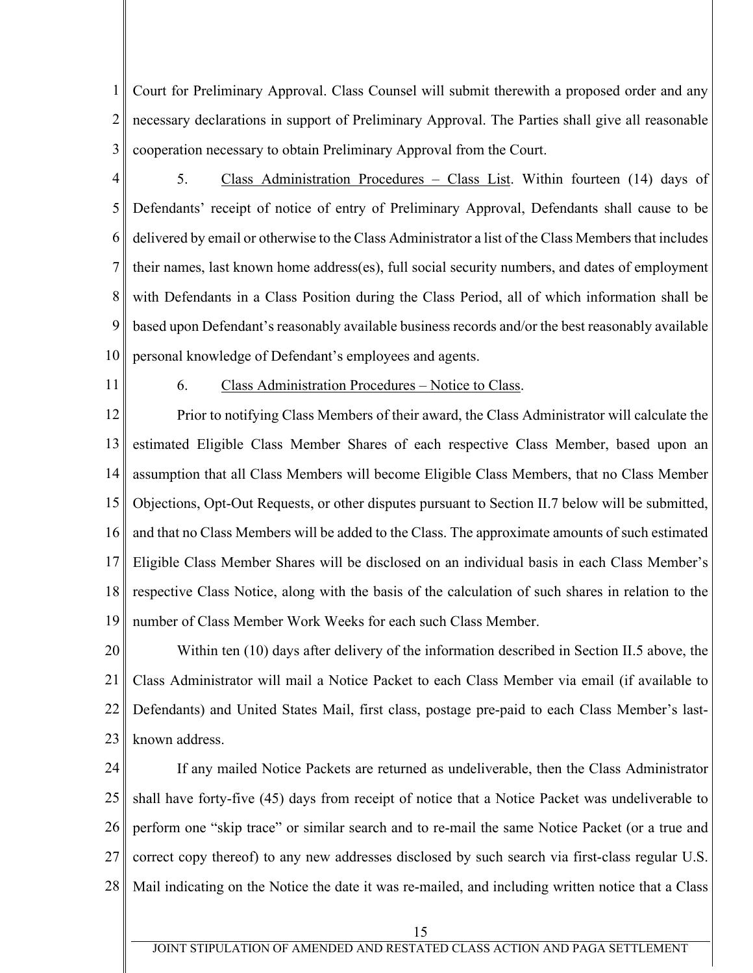1 2 3 Court for Preliminary Approval. Class Counsel will submit therewith a proposed order and any necessary declarations in support of Preliminary Approval. The Parties shall give all reasonable cooperation necessary to obtain Preliminary Approval from the Court.

4 5 6 7 8 9 10 5. Class Administration Procedures – Class List. Within fourteen (14) days of Defendants' receipt of notice of entry of Preliminary Approval, Defendants shall cause to be delivered by email or otherwise to the Class Administrator a list of the Class Members that includes their names, last known home address(es), full social security numbers, and dates of employment with Defendants in a Class Position during the Class Period, all of which information shall be based upon Defendant's reasonably available business records and/or the best reasonably available personal knowledge of Defendant's employees and agents.

11

## 6. Class Administration Procedures – Notice to Class.

12 13 14 15 16 17 18 19 Prior to notifying Class Members of their award, the Class Administrator will calculate the estimated Eligible Class Member Shares of each respective Class Member, based upon an assumption that all Class Members will become Eligible Class Members, that no Class Member Objections, Opt-Out Requests, or other disputes pursuant to Section II.7 below will be submitted, and that no Class Members will be added to the Class. The approximate amounts of such estimated Eligible Class Member Shares will be disclosed on an individual basis in each Class Member's respective Class Notice, along with the basis of the calculation of such shares in relation to the number of Class Member Work Weeks for each such Class Member.

20 21 22 23 Within ten (10) days after delivery of the information described in Section II.5 above, the Class Administrator will mail a Notice Packet to each Class Member via email (if available to Defendants) and United States Mail, first class, postage pre-paid to each Class Member's lastknown address.

24 25 26 27 28 If any mailed Notice Packets are returned as undeliverable, then the Class Administrator shall have forty-five (45) days from receipt of notice that a Notice Packet was undeliverable to perform one "skip trace" or similar search and to re-mail the same Notice Packet (or a true and correct copy thereof) to any new addresses disclosed by such search via first-class regular U.S. Mail indicating on the Notice the date it was re-mailed, and including written notice that a Class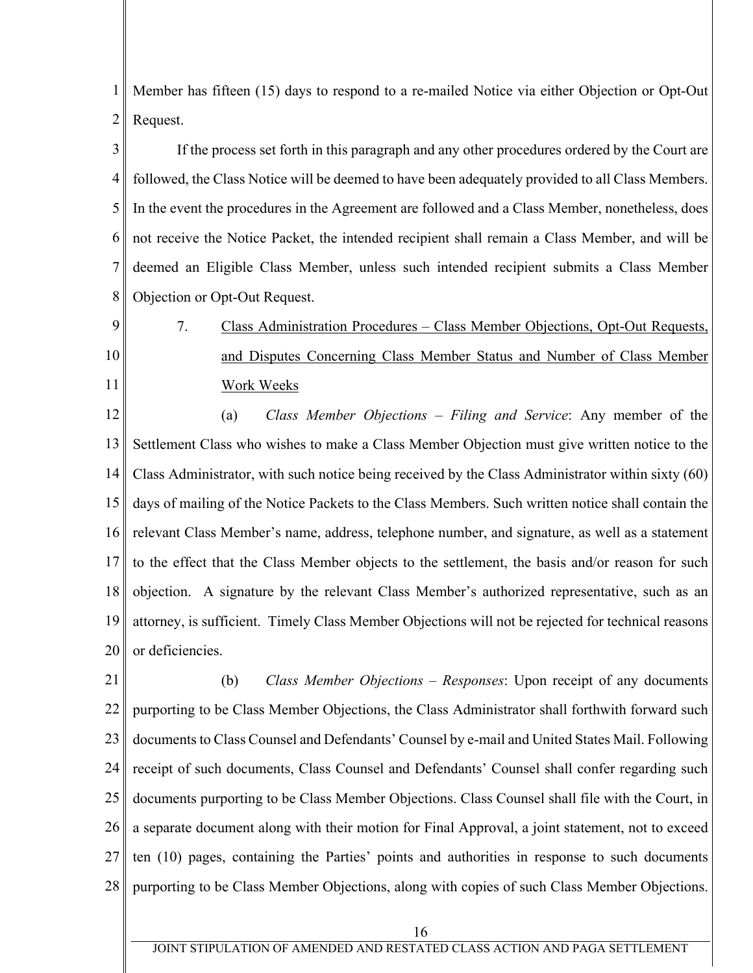1 2 Member has fifteen (15) days to respond to a re-mailed Notice via either Objection or Opt-Out Request.

3 4 5 6 7 8 If the process set forth in this paragraph and any other procedures ordered by the Court are followed, the Class Notice will be deemed to have been adequately provided to all Class Members. In the event the procedures in the Agreement are followed and a Class Member, nonetheless, does not receive the Notice Packet, the intended recipient shall remain a Class Member, and will be deemed an Eligible Class Member, unless such intended recipient submits a Class Member Objection or Opt-Out Request.

9 10 11 7. Class Administration Procedures - Class Member Objections, Opt-Out Requests, and Disputes Concerning Class Member Status and Number of Class Member Work Weeks

12 13 14 15 16 17 18 19 20 (a) *Class Member Objections – Filing and Service*: Any member of the Settlement Class who wishes to make a Class Member Objection must give written notice to the Class Administrator, with such notice being received by the Class Administrator within sixty (60) days of mailing of the Notice Packets to the Class Members. Such written notice shall contain the relevant Class Member's name, address, telephone number, and signature, as well as a statement to the effect that the Class Member objects to the settlement, the basis and/or reason for such objection. A signature by the relevant Class Member's authorized representative, such as an attorney, is sufficient. Timely Class Member Objections will not be rejected for technical reasons or deficiencies.

21 22 23 24 25 26 27 28 (b) *Class Member Objections* – *Responses*: Upon receipt of any documents purporting to be Class Member Objections, the Class Administrator shall forthwith forward such documents to Class Counsel and Defendants' Counsel by e-mail and United States Mail. Following receipt of such documents, Class Counsel and Defendants' Counsel shall confer regarding such documents purporting to be Class Member Objections. Class Counsel shall file with the Court, in a separate document along with their motion for Final Approval, a joint statement, not to exceed ten (10) pages, containing the Parties' points and authorities in response to such documents purporting to be Class Member Objections, along with copies of such Class Member Objections.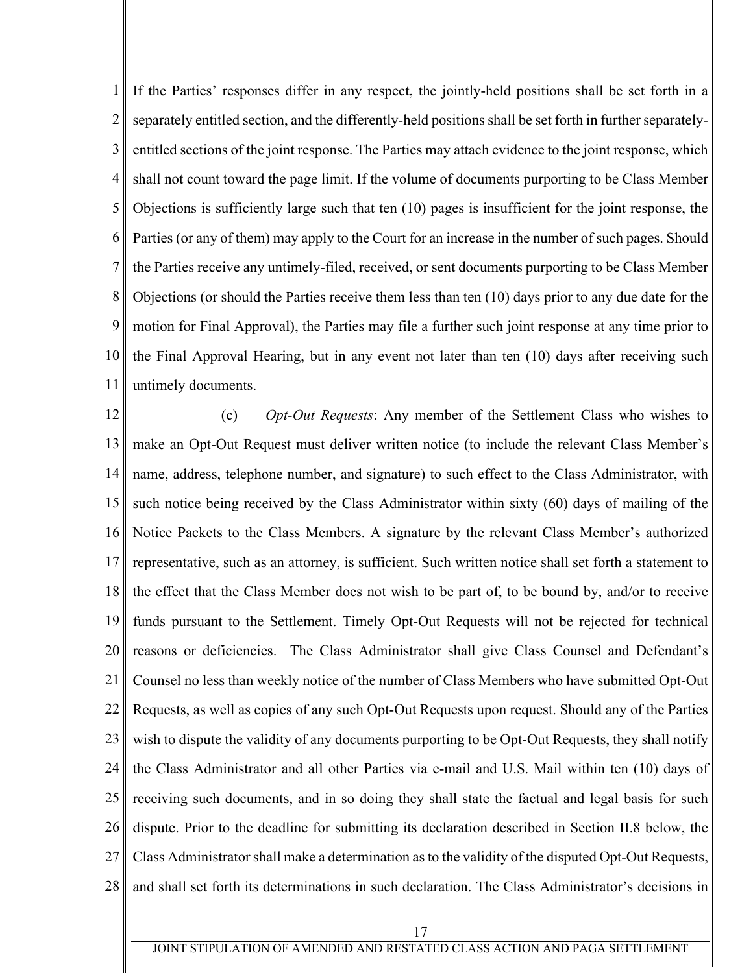1 2 3 4 5 6 7 8 9 10 11 If the Parties' responses differ in any respect, the jointly-held positions shall be set forth in a separately entitled section, and the differently-held positions shall be set forth in further separatelyentitled sections of the joint response. The Parties may attach evidence to the joint response, which shall not count toward the page limit. If the volume of documents purporting to be Class Member Objections is sufficiently large such that ten (10) pages is insufficient for the joint response, the Parties (or any of them) may apply to the Court for an increase in the number of such pages. Should the Parties receive any untimely-filed, received, or sent documents purporting to be Class Member Objections (or should the Parties receive them less than ten (10) days prior to any due date for the motion for Final Approval), the Parties may file a further such joint response at any time prior to the Final Approval Hearing, but in any event not later than ten (10) days after receiving such untimely documents.

12 13 14 15 16 17 18 19 20 21 22 23 24 25 26 27 28 (c) *Opt-Out Requests*: Any member of the Settlement Class who wishes to make an Opt-Out Request must deliver written notice (to include the relevant Class Member's name, address, telephone number, and signature) to such effect to the Class Administrator, with such notice being received by the Class Administrator within sixty (60) days of mailing of the Notice Packets to the Class Members. A signature by the relevant Class Member's authorized representative, such as an attorney, is sufficient. Such written notice shall set forth a statement to the effect that the Class Member does not wish to be part of, to be bound by, and/or to receive funds pursuant to the Settlement. Timely Opt-Out Requests will not be rejected for technical reasons or deficiencies. The Class Administrator shall give Class Counsel and Defendant's Counsel no less than weekly notice of the number of Class Members who have submitted Opt-Out Requests, as well as copies of any such Opt-Out Requests upon request. Should any of the Parties wish to dispute the validity of any documents purporting to be Opt-Out Requests, they shall notify the Class Administrator and all other Parties via e-mail and U.S. Mail within ten (10) days of receiving such documents, and in so doing they shall state the factual and legal basis for such dispute. Prior to the deadline for submitting its declaration described in Section II.8 below, the Class Administrator shall make a determination as to the validity of the disputed Opt-Out Requests, and shall set forth its determinations in such declaration. The Class Administrator's decisions in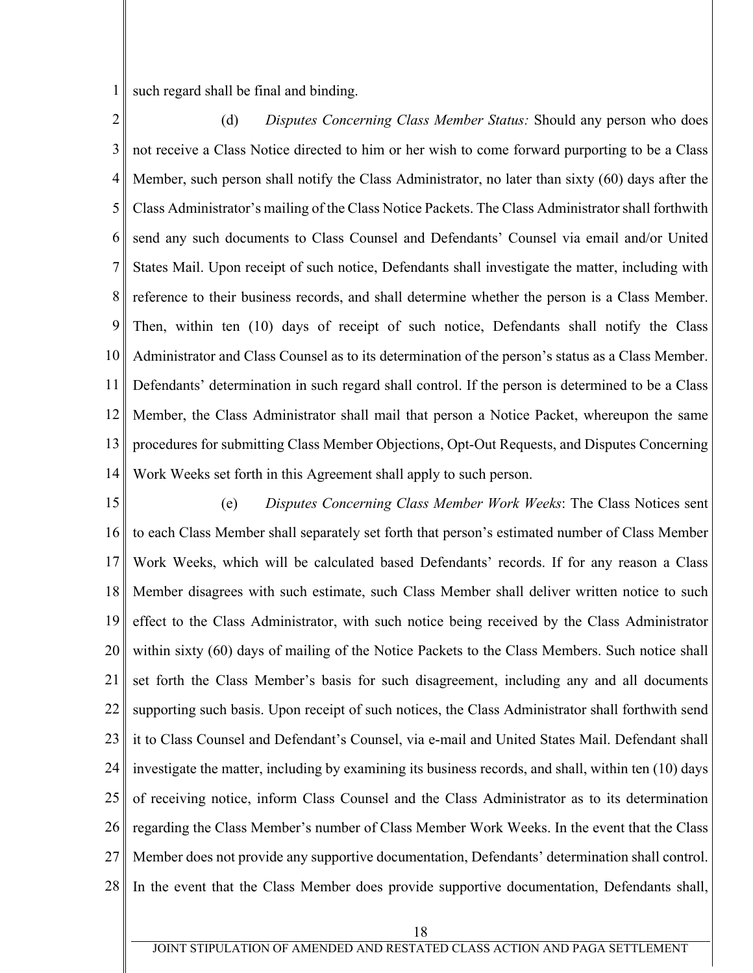1 such regard shall be final and binding.

2 3 4 5 6 7 8 9 10 11 12 13 14 (d) *Disputes Concerning Class Member Status:* Should any person who does not receive a Class Notice directed to him or her wish to come forward purporting to be a Class Member, such person shall notify the Class Administrator, no later than sixty (60) days after the Class Administrator's mailing of the Class Notice Packets. The Class Administrator shall forthwith send any such documents to Class Counsel and Defendants' Counsel via email and/or United States Mail. Upon receipt of such notice, Defendants shall investigate the matter, including with reference to their business records, and shall determine whether the person is a Class Member. Then, within ten (10) days of receipt of such notice, Defendants shall notify the Class Administrator and Class Counsel as to its determination of the person's status as a Class Member. Defendants' determination in such regard shall control. If the person is determined to be a Class Member, the Class Administrator shall mail that person a Notice Packet, whereupon the same procedures for submitting Class Member Objections, Opt-Out Requests, and Disputes Concerning Work Weeks set forth in this Agreement shall apply to such person.

15 16 17 18 19 20 21 22 23 24 25 26 27 28 (e) *Disputes Concerning Class Member Work Weeks*: The Class Notices sent to each Class Member shall separately set forth that person's estimated number of Class Member Work Weeks, which will be calculated based Defendants' records. If for any reason a Class Member disagrees with such estimate, such Class Member shall deliver written notice to such effect to the Class Administrator, with such notice being received by the Class Administrator within sixty (60) days of mailing of the Notice Packets to the Class Members. Such notice shall set forth the Class Member's basis for such disagreement, including any and all documents supporting such basis. Upon receipt of such notices, the Class Administrator shall forthwith send it to Class Counsel and Defendant's Counsel, via e-mail and United States Mail. Defendant shall investigate the matter, including by examining its business records, and shall, within ten (10) days of receiving notice, inform Class Counsel and the Class Administrator as to its determination regarding the Class Member's number of Class Member Work Weeks. In the event that the Class Member does not provide any supportive documentation, Defendants' determination shall control. In the event that the Class Member does provide supportive documentation, Defendants shall,

18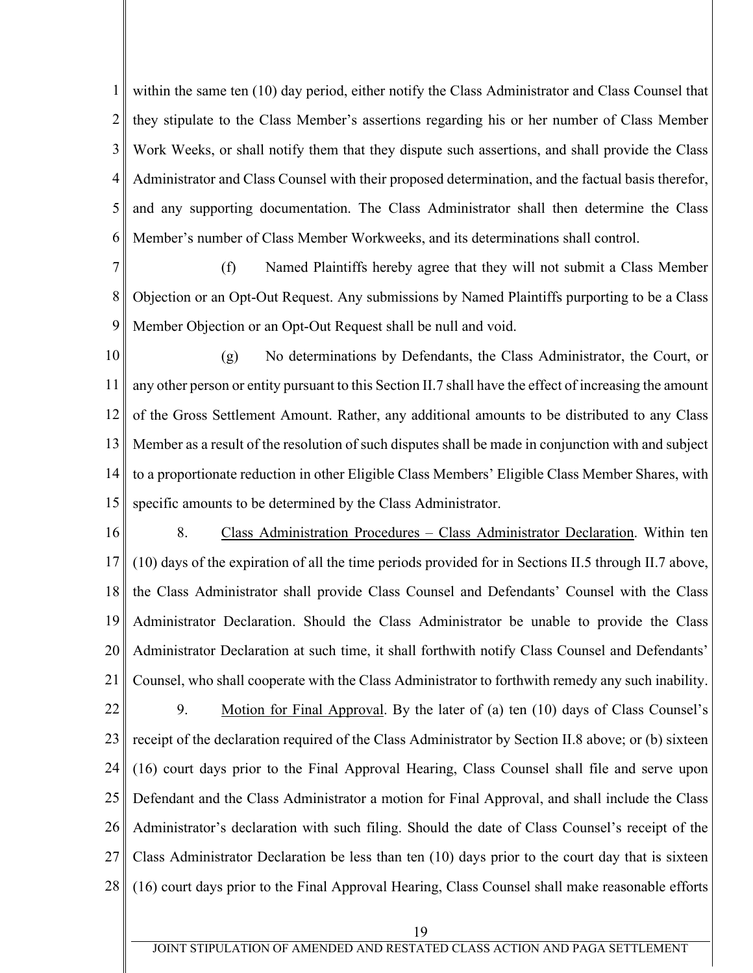1 2 3 4 5 6 within the same ten (10) day period, either notify the Class Administrator and Class Counsel that they stipulate to the Class Member's assertions regarding his or her number of Class Member Work Weeks, or shall notify them that they dispute such assertions, and shall provide the Class Administrator and Class Counsel with their proposed determination, and the factual basis therefor, and any supporting documentation. The Class Administrator shall then determine the Class Member's number of Class Member Workweeks, and its determinations shall control.

7 8 9 (f) Named Plaintiffs hereby agree that they will not submit a Class Member Objection or an Opt-Out Request. Any submissions by Named Plaintiffs purporting to be a Class Member Objection or an Opt-Out Request shall be null and void.

10 11 12 13 14 15 (g) No determinations by Defendants, the Class Administrator, the Court, or any other person or entity pursuant to this Section II.7 shall have the effect of increasing the amount of the Gross Settlement Amount. Rather, any additional amounts to be distributed to any Class Member as a result of the resolution of such disputes shall be made in conjunction with and subject to a proportionate reduction in other Eligible Class Members' Eligible Class Member Shares, with specific amounts to be determined by the Class Administrator.

16 17 18 19 20 21 22 23 24 25 26 27 28 8. Class Administration Procedures – Class Administrator Declaration. Within ten (10) days of the expiration of all the time periods provided for in Sections II.5 through II.7 above, the Class Administrator shall provide Class Counsel and Defendants' Counsel with the Class Administrator Declaration. Should the Class Administrator be unable to provide the Class Administrator Declaration at such time, it shall forthwith notify Class Counsel and Defendants' Counsel, who shall cooperate with the Class Administrator to forthwith remedy any such inability. 9. Motion for Final Approval. By the later of (a) ten (10) days of Class Counsel's receipt of the declaration required of the Class Administrator by Section II.8 above; or (b) sixteen (16) court days prior to the Final Approval Hearing, Class Counsel shall file and serve upon Defendant and the Class Administrator a motion for Final Approval, and shall include the Class Administrator's declaration with such filing. Should the date of Class Counsel's receipt of the Class Administrator Declaration be less than ten (10) days prior to the court day that is sixteen (16) court days prior to the Final Approval Hearing, Class Counsel shall make reasonable efforts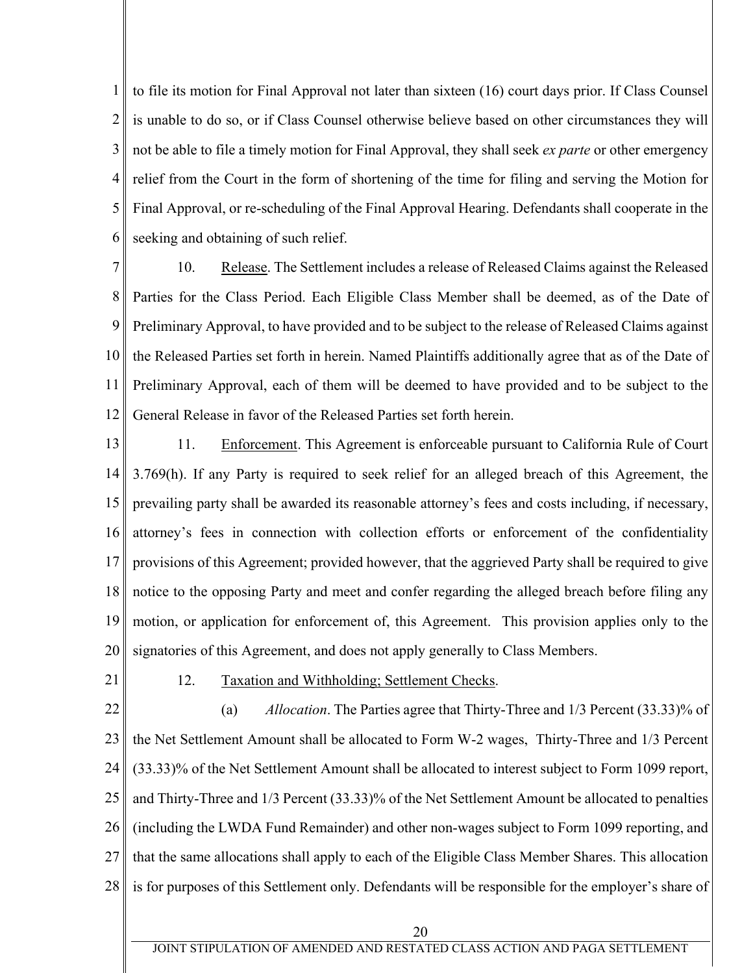1 2 3 4 5 6 to file its motion for Final Approval not later than sixteen (16) court days prior. If Class Counsel is unable to do so, or if Class Counsel otherwise believe based on other circumstances they will not be able to file a timely motion for Final Approval, they shall seek *ex parte* or other emergency relief from the Court in the form of shortening of the time for filing and serving the Motion for Final Approval, or re-scheduling of the Final Approval Hearing. Defendants shall cooperate in the seeking and obtaining of such relief.

7 8 9 10 11 12 10. Release. The Settlement includes a release of Released Claims against the Released Parties for the Class Period. Each Eligible Class Member shall be deemed, as of the Date of Preliminary Approval, to have provided and to be subject to the release of Released Claims against the Released Parties set forth in herein. Named Plaintiffs additionally agree that as of the Date of Preliminary Approval, each of them will be deemed to have provided and to be subject to the General Release in favor of the Released Parties set forth herein.

- 13 14 15 16 17 18 19 20 11. Enforcement. This Agreement is enforceable pursuant to California Rule of Court 3.769(h). If any Party is required to seek relief for an alleged breach of this Agreement, the prevailing party shall be awarded its reasonable attorney's fees and costs including, if necessary, attorney's fees in connection with collection efforts or enforcement of the confidentiality provisions of this Agreement; provided however, that the aggrieved Party shall be required to give notice to the opposing Party and meet and confer regarding the alleged breach before filing any motion, or application for enforcement of, this Agreement. This provision applies only to the signatories of this Agreement, and does not apply generally to Class Members.
- 21
- 12. Taxation and Withholding; Settlement Checks.

22 23 24 25 26 27 28 (a) *Allocation*. The Parties agree that Thirty-Three and 1/3 Percent (33.33)% of the Net Settlement Amount shall be allocated to Form W-2 wages, Thirty-Three and 1/3 Percent (33.33)% of the Net Settlement Amount shall be allocated to interest subject to Form 1099 report, and Thirty-Three and 1/3 Percent (33.33)% of the Net Settlement Amount be allocated to penalties (including the LWDA Fund Remainder) and other non-wages subject to Form 1099 reporting, and that the same allocations shall apply to each of the Eligible Class Member Shares. This allocation is for purposes of this Settlement only. Defendants will be responsible for the employer's share of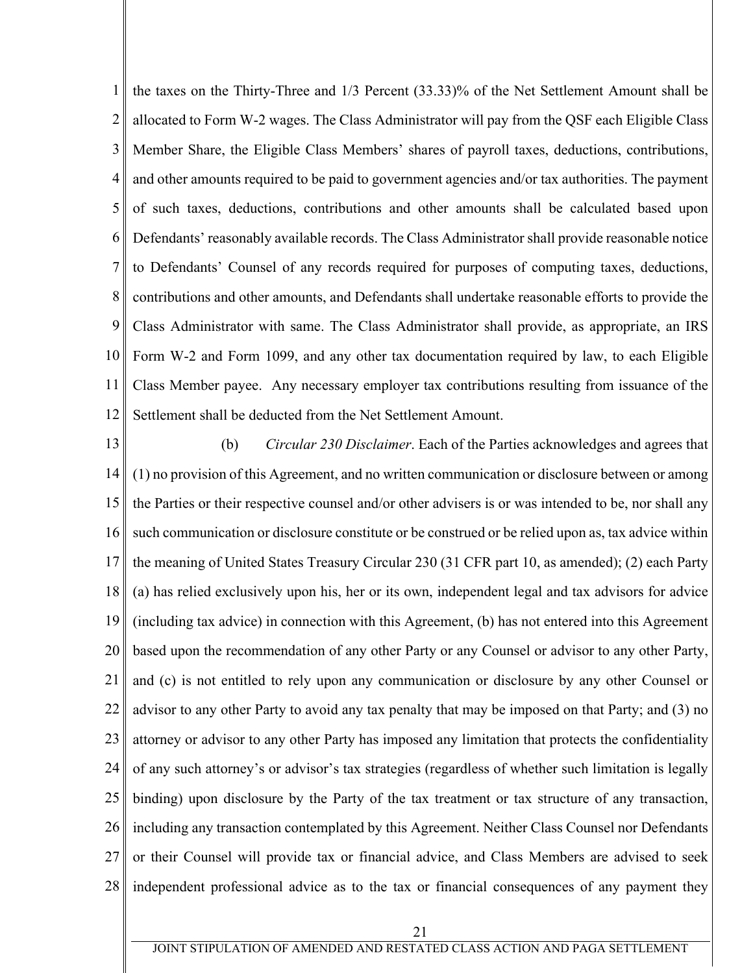1 2 3 4 5 6 7 8 9 10 11 12 the taxes on the Thirty-Three and 1/3 Percent (33.33)% of the Net Settlement Amount shall be allocated to Form W-2 wages. The Class Administrator will pay from the QSF each Eligible Class Member Share, the Eligible Class Members' shares of payroll taxes, deductions, contributions, and other amounts required to be paid to government agencies and/or tax authorities. The payment of such taxes, deductions, contributions and other amounts shall be calculated based upon Defendants' reasonably available records. The Class Administrator shall provide reasonable notice to Defendants' Counsel of any records required for purposes of computing taxes, deductions, contributions and other amounts, and Defendants shall undertake reasonable efforts to provide the Class Administrator with same. The Class Administrator shall provide, as appropriate, an IRS Form W-2 and Form 1099, and any other tax documentation required by law, to each Eligible Class Member payee. Any necessary employer tax contributions resulting from issuance of the Settlement shall be deducted from the Net Settlement Amount.

13 14 15 16 17 18 19 20 21 22 23 24 25 26 27 28 (b) *Circular 230 Disclaimer*. Each of the Parties acknowledges and agrees that (1) no provision of this Agreement, and no written communication or disclosure between or among the Parties or their respective counsel and/or other advisers is or was intended to be, nor shall any such communication or disclosure constitute or be construed or be relied upon as, tax advice within the meaning of United States Treasury Circular 230 (31 CFR part 10, as amended); (2) each Party (a) has relied exclusively upon his, her or its own, independent legal and tax advisors for advice (including tax advice) in connection with this Agreement, (b) has not entered into this Agreement based upon the recommendation of any other Party or any Counsel or advisor to any other Party, and (c) is not entitled to rely upon any communication or disclosure by any other Counsel or advisor to any other Party to avoid any tax penalty that may be imposed on that Party; and (3) no attorney or advisor to any other Party has imposed any limitation that protects the confidentiality of any such attorney's or advisor's tax strategies (regardless of whether such limitation is legally binding) upon disclosure by the Party of the tax treatment or tax structure of any transaction, including any transaction contemplated by this Agreement. Neither Class Counsel nor Defendants or their Counsel will provide tax or financial advice, and Class Members are advised to seek independent professional advice as to the tax or financial consequences of any payment they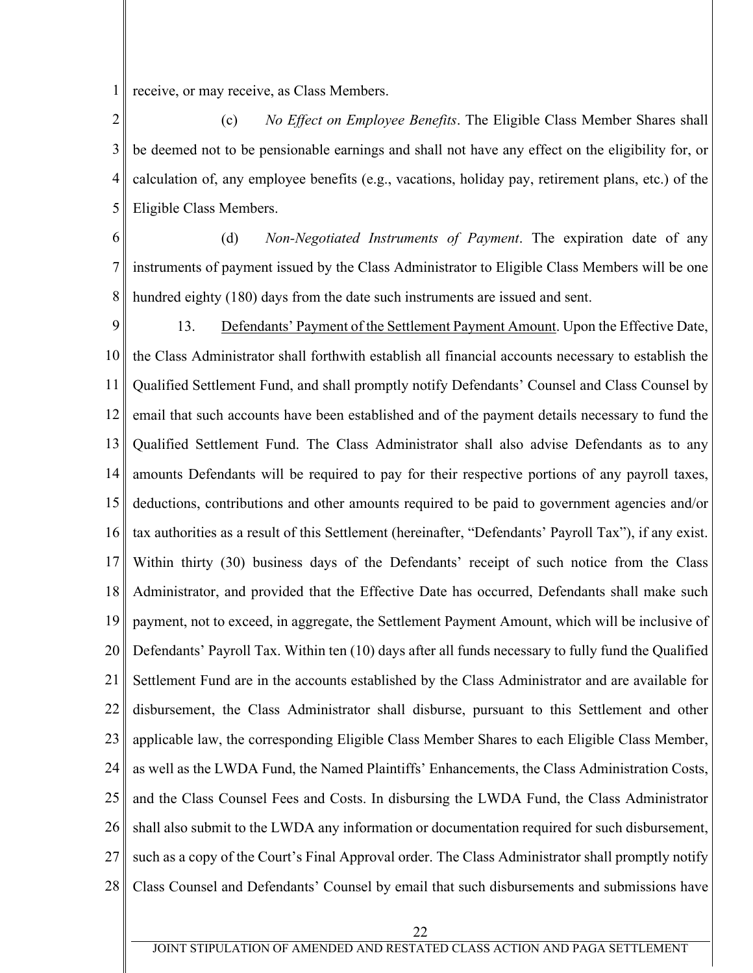1 receive, or may receive, as Class Members.

2 3 4 5 (c) *No Effect on Employee Benefits*. The Eligible Class Member Shares shall be deemed not to be pensionable earnings and shall not have any effect on the eligibility for, or calculation of, any employee benefits (e.g., vacations, holiday pay, retirement plans, etc.) of the Eligible Class Members.

6 7 8 (d) *Non-Negotiated Instruments of Payment*. The expiration date of any instruments of payment issued by the Class Administrator to Eligible Class Members will be one hundred eighty (180) days from the date such instruments are issued and sent.

9 10 11 12 13 14 15 16 17 18 19 20 21 22 23 24 25 26 27 28 13. Defendants' Payment of the Settlement Payment Amount. Upon the Effective Date, the Class Administrator shall forthwith establish all financial accounts necessary to establish the Qualified Settlement Fund, and shall promptly notify Defendants' Counsel and Class Counsel by email that such accounts have been established and of the payment details necessary to fund the Qualified Settlement Fund. The Class Administrator shall also advise Defendants as to any amounts Defendants will be required to pay for their respective portions of any payroll taxes, deductions, contributions and other amounts required to be paid to government agencies and/or tax authorities as a result of this Settlement (hereinafter, "Defendants' Payroll Tax"), if any exist. Within thirty (30) business days of the Defendants' receipt of such notice from the Class Administrator, and provided that the Effective Date has occurred, Defendants shall make such payment, not to exceed, in aggregate, the Settlement Payment Amount, which will be inclusive of Defendants' Payroll Tax. Within ten (10) days after all funds necessary to fully fund the Qualified Settlement Fund are in the accounts established by the Class Administrator and are available for disbursement, the Class Administrator shall disburse, pursuant to this Settlement and other applicable law, the corresponding Eligible Class Member Shares to each Eligible Class Member, as well as the LWDA Fund, the Named Plaintiffs' Enhancements, the Class Administration Costs, and the Class Counsel Fees and Costs. In disbursing the LWDA Fund, the Class Administrator shall also submit to the LWDA any information or documentation required for such disbursement, such as a copy of the Court's Final Approval order. The Class Administrator shall promptly notify Class Counsel and Defendants' Counsel by email that such disbursements and submissions have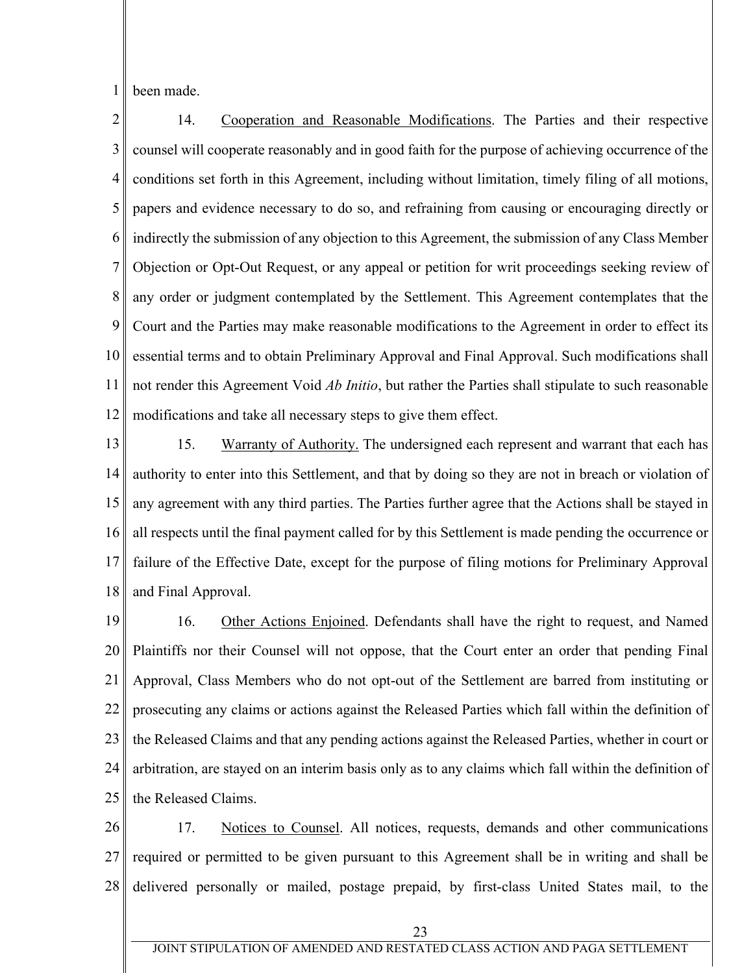1 been made.

2 3 4 5 6 7 8 9 10 11 12 14. Cooperation and Reasonable Modifications. The Parties and their respective counsel will cooperate reasonably and in good faith for the purpose of achieving occurrence of the conditions set forth in this Agreement, including without limitation, timely filing of all motions, papers and evidence necessary to do so, and refraining from causing or encouraging directly or indirectly the submission of any objection to this Agreement, the submission of any Class Member Objection or Opt-Out Request, or any appeal or petition for writ proceedings seeking review of any order or judgment contemplated by the Settlement. This Agreement contemplates that the Court and the Parties may make reasonable modifications to the Agreement in order to effect its essential terms and to obtain Preliminary Approval and Final Approval. Such modifications shall not render this Agreement Void *Ab Initio*, but rather the Parties shall stipulate to such reasonable modifications and take all necessary steps to give them effect.

13 14 15 16 17 18 15. Warranty of Authority. The undersigned each represent and warrant that each has authority to enter into this Settlement, and that by doing so they are not in breach or violation of any agreement with any third parties. The Parties further agree that the Actions shall be stayed in all respects until the final payment called for by this Settlement is made pending the occurrence or failure of the Effective Date, except for the purpose of filing motions for Preliminary Approval and Final Approval.

19 20 21 22 23 24 25 16. Other Actions Enjoined. Defendants shall have the right to request, and Named Plaintiffs nor their Counsel will not oppose, that the Court enter an order that pending Final Approval, Class Members who do not opt-out of the Settlement are barred from instituting or prosecuting any claims or actions against the Released Parties which fall within the definition of the Released Claims and that any pending actions against the Released Parties, whether in court or arbitration, are stayed on an interim basis only as to any claims which fall within the definition of the Released Claims.

26 27 28 17. Notices to Counsel. All notices, requests, demands and other communications required or permitted to be given pursuant to this Agreement shall be in writing and shall be delivered personally or mailed, postage prepaid, by first-class United States mail, to the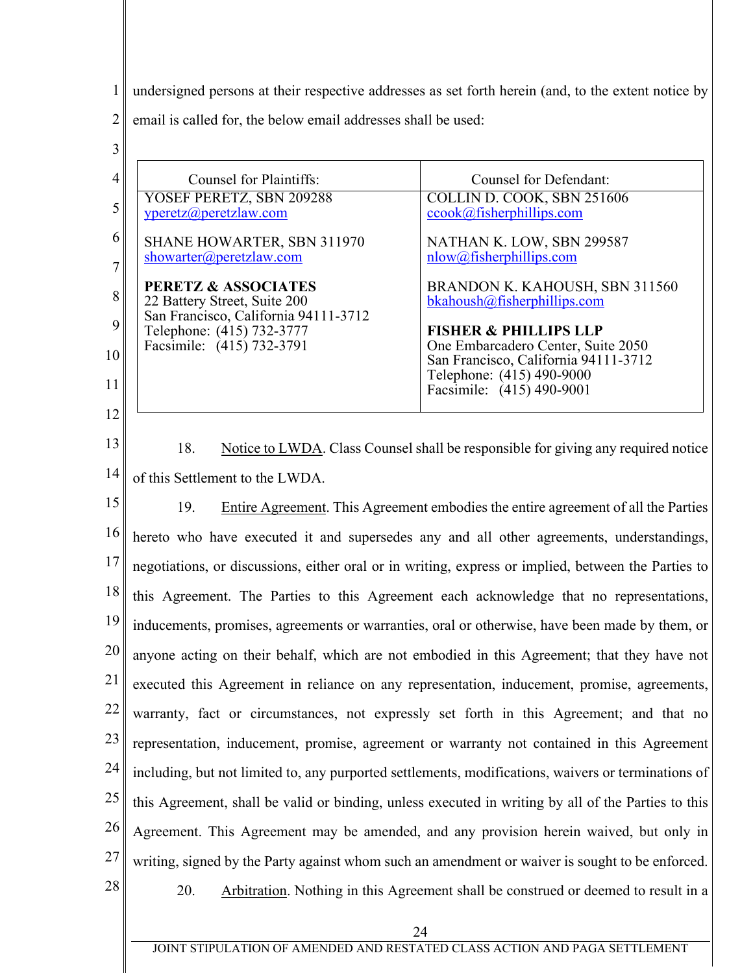1 undersigned persons at their respective addresses as set forth herein (and, to the extent notice by

2 email is called for, the below email addresses shall be used:

| 3  |                                                                   |                                                                            |
|----|-------------------------------------------------------------------|----------------------------------------------------------------------------|
|    | Counsel for Plaintiffs:                                           | <b>Counsel for Defendant:</b>                                              |
|    | YOSEF PERETZ, SBN 209288<br>yperetz@peretzlaw.com                 | COLLIN D. COOK, SBN 251606<br>ccook@fisherphilips.com                      |
| 6  | SHANE HOWARTER, SBN 311970                                        | NATHAN K. LOW, SBN 299587                                                  |
|    | showarter@peretzlaw.com                                           | nlow@fisherphilips.com                                                     |
| 8  | PERETZ & ASSOCIATES<br>22 Battery Street, Suite 200               | BRANDON K. KAHOUSH, SBN 311560<br>bkahoush@fisherphilips.com               |
|    | San Francisco, California 94111-3712<br>Telephone: (415) 732-3777 | <b>FISHER &amp; PHILLIPS LLP</b>                                           |
| 10 | Facsimile: (415) 732-3791                                         | One Embarcadero Center, Suite 2050<br>San Francisco, California 94111-3712 |
| 11 |                                                                   | Telephone: (415) 490-9000<br>Facsimile: (415) 490-9001                     |
| 12 |                                                                   |                                                                            |

13 14 18. Notice to LWDA. Class Counsel shall be responsible for giving any required notice of this Settlement to the LWDA.

15 16 17 18 19 20 21 22 23 24 25 26 27 28 19. Entire Agreement. This Agreement embodies the entire agreement of all the Parties hereto who have executed it and supersedes any and all other agreements, understandings, negotiations, or discussions, either oral or in writing, express or implied, between the Parties to this Agreement. The Parties to this Agreement each acknowledge that no representations, inducements, promises, agreements or warranties, oral or otherwise, have been made by them, or anyone acting on their behalf, which are not embodied in this Agreement; that they have not executed this Agreement in reliance on any representation, inducement, promise, agreements, warranty, fact or circumstances, not expressly set forth in this Agreement; and that no representation, inducement, promise, agreement or warranty not contained in this Agreement including, but not limited to, any purported settlements, modifications, waivers or terminations of this Agreement, shall be valid or binding, unless executed in writing by all of the Parties to this Agreement. This Agreement may be amended, and any provision herein waived, but only in writing, signed by the Party against whom such an amendment or waiver is sought to be enforced. 20. Arbitration. Nothing in this Agreement shall be construed or deemed to result in a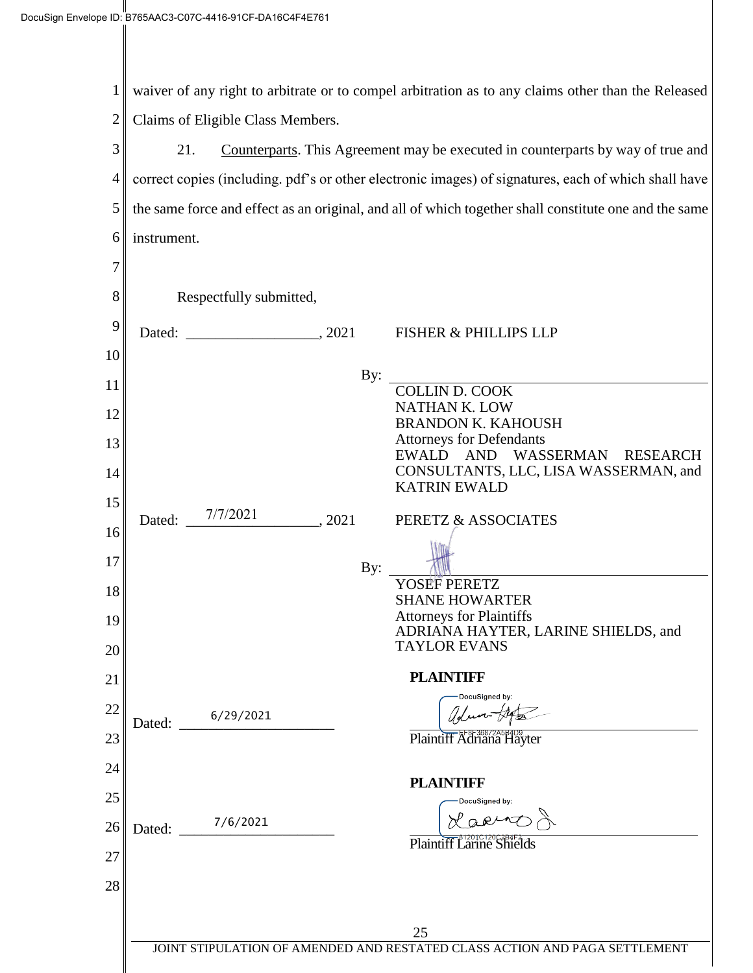1 waiver of any right to arbitrate or to compel arbitration as to any claims other than the Released 2 Claims of Eligible Class Members.

3 21. Counterparts. This Agreement may be executed in counterparts by way of true and 4 correct copies (including. pdf's or other electronic images) of signatures, each of which shall have 5 the same force and effect as an original, and all of which together shall constitute one and the same 6 instrument. 7 8 Respectfully submitted, 9 Dated:  $2021$  FISHER & PHILLIPS LLP 10 By: 11 COLLIN D. COOK NATHAN K. LOW 12 BRANDON K. KAHOUSH Attorneys for Defendants 13 EWALD AND WASSERMAN RESEARCH CONSULTANTS, LLC, LISA WASSERMAN, and 14 KATRIN EWALD 15 Dated: \_ 7/7/2021  $\Box$ , 2021 PERETZ & ASSOCIATES 16 17 By: YOSEF PERETZ 18 SHANE HOWARTER Attorneys for Plaintiffs 19 ADRIANA HAYTER, LARINE SHIELDS, and TAYLOR EVANS 20 **PLAINTIFF** 21 **DocuSianed by** 22 adun-fre 6/29/2021 Dated: Plaintiff Adriana Hayter 23 24 **PLAINTIFF** 25 Lacio Dated: \_\_\_\_\_\_\_\_\_\_\_\_\_\_\_\_\_\_\_\_\_ 7/6/2021 26 Plaintiff Larine Shields 27 28 25 JOINT STIPULATION OF AMENDED AND RESTATED CLASS ACTION AND PAGA SETTLEMENT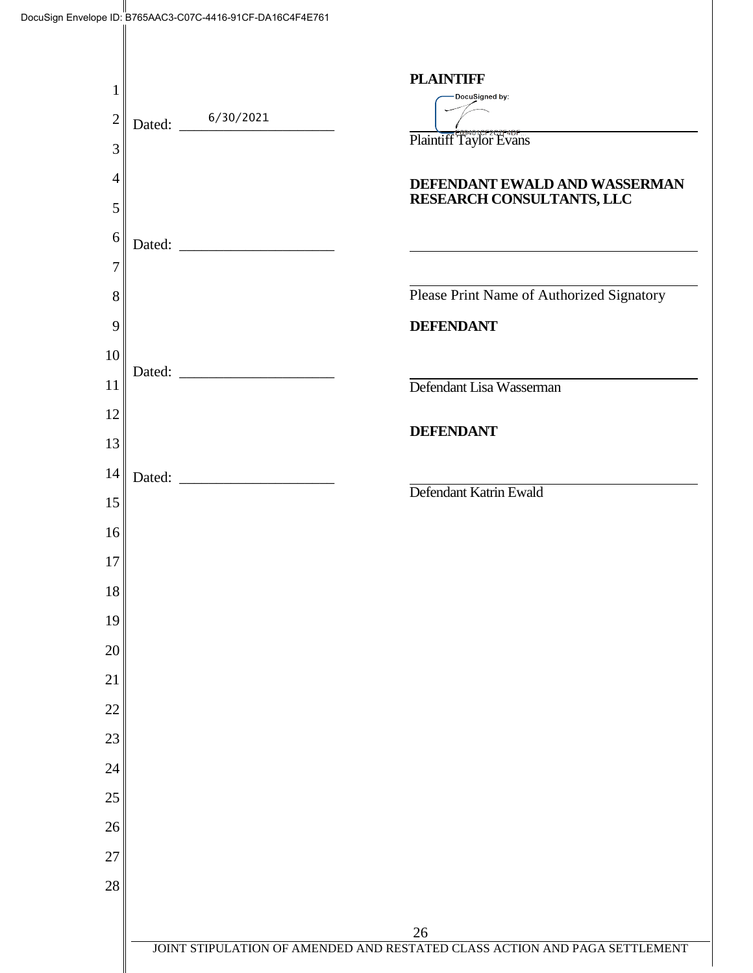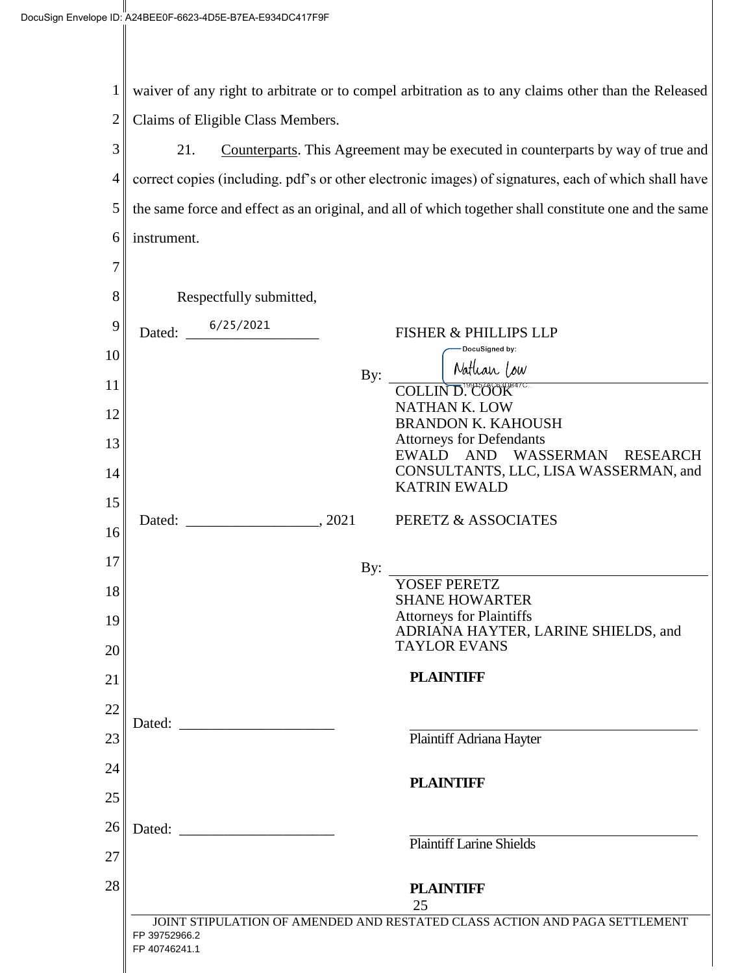7

1 2 waiver of any right to arbitrate or to compel arbitration as to any claims other than the Released Claims of Eligible Class Members.

3 4 5 6 21. Counterparts. This Agreement may be executed in counterparts by way of true and correct copies (including. pdf's or other electronic images) of signatures, each of which shall have the same force and effect as an original, and all of which together shall constitute one and the same instrument.

| 8  | Respectfully submitted,        |                                                                            |
|----|--------------------------------|----------------------------------------------------------------------------|
| 9  | Dated: $\frac{6/25/2021}{2}$   | FISHER & PHILLIPS LLP                                                      |
| 10 |                                | DocuSigned by:<br>Nathan Low                                               |
| 11 | By:                            | COLLIN D. COOK                                                             |
| 12 |                                | NATHAN K. LOW<br><b>BRANDON K. KAHOUSH</b>                                 |
| 13 |                                | <b>Attorneys for Defendants</b><br>EWALD AND WASSERMAN RESEARCH            |
| 14 |                                | CONSULTANTS, LLC, LISA WASSERMAN, and<br><b>KATRIN EWALD</b>               |
| 15 |                                | PERETZ & ASSOCIATES                                                        |
| 16 |                                |                                                                            |
| 17 | By:                            | <b>YOSEF PERETZ</b>                                                        |
| 18 |                                | <b>SHANE HOWARTER</b>                                                      |
| 19 |                                | <b>Attorneys for Plaintiffs</b>                                            |
| 20 |                                | ADRIANA HAYTER, LARINE SHIELDS, and<br><b>TAYLOR EVANS</b>                 |
| 21 |                                | <b>PLAINTIFF</b>                                                           |
| 22 |                                |                                                                            |
| 23 |                                | Plaintiff Adriana Hayter                                                   |
| 24 |                                |                                                                            |
| 25 |                                | <b>PLAINTIFF</b>                                                           |
| 26 | Dated:                         |                                                                            |
|    |                                | <b>Plaintiff Larine Shields</b>                                            |
| 27 |                                |                                                                            |
| 28 |                                | <b>PLAINTIFF</b><br>25                                                     |
|    | FP 39752966.2<br>FP 40746241.1 | JOINT STIPULATION OF AMENDED AND RESTATED CLASS ACTION AND PAGA SETTLEMENT |